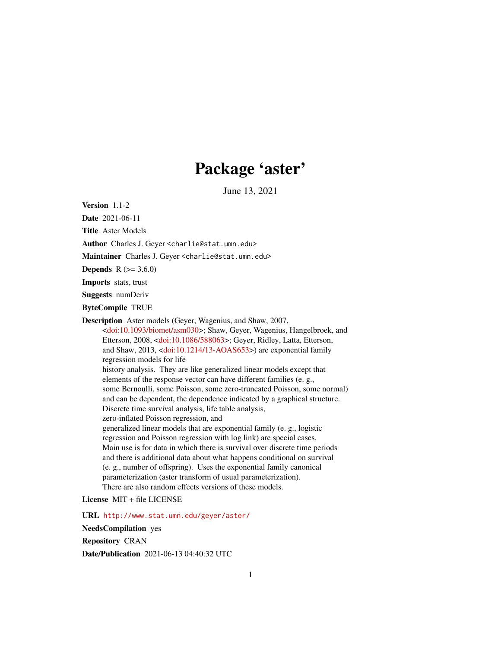# Package 'aster'

June 13, 2021

<span id="page-0-0"></span>Version 1.1-2

Date 2021-06-11

Title Aster Models

Author Charles J. Geyer <charlie@stat.umn.edu>

Maintainer Charles J. Geyer <charlie@stat.umn.edu>

**Depends** R  $(>= 3.6.0)$ 

Imports stats, trust

Suggests numDeriv

ByteCompile TRUE

Description Aster models (Geyer, Wagenius, and Shaw, 2007, [<doi:10.1093/biomet/asm030>](https://doi.org/10.1093/biomet/asm030); Shaw, Geyer, Wagenius, Hangelbroek, and Etterson, 2008, [<doi:10.1086/588063>](https://doi.org/10.1086/588063); Geyer, Ridley, Latta, Etterson, and Shaw, 2013, [<doi:10.1214/13-AOAS653>](https://doi.org/10.1214/13-AOAS653)) are exponential family regression models for life history analysis. They are like generalized linear models except that elements of the response vector can have different families (e. g., some Bernoulli, some Poisson, some zero-truncated Poisson, some normal) and can be dependent, the dependence indicated by a graphical structure. Discrete time survival analysis, life table analysis, zero-inflated Poisson regression, and generalized linear models that are exponential family (e. g., logistic regression and Poisson regression with log link) are special cases. Main use is for data in which there is survival over discrete time periods and there is additional data about what happens conditional on survival (e. g., number of offspring). Uses the exponential family canonical parameterization (aster transform of usual parameterization). There are also random effects versions of these models.

License MIT + file LICENSE

URL <http://www.stat.umn.edu/geyer/aster/>

NeedsCompilation yes

Repository CRAN

Date/Publication 2021-06-13 04:40:32 UTC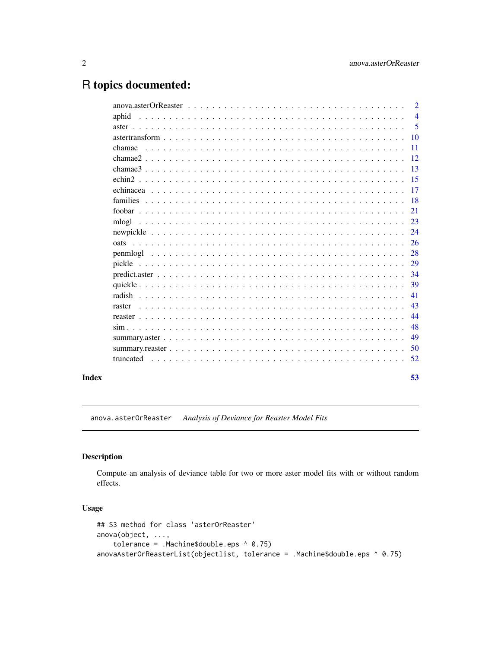# <span id="page-1-0"></span>R topics documented:

|       |                                                                                                                                | 2              |
|-------|--------------------------------------------------------------------------------------------------------------------------------|----------------|
|       | aphid                                                                                                                          | $\overline{4}$ |
|       |                                                                                                                                | 5              |
|       |                                                                                                                                | <b>10</b>      |
|       | chamae                                                                                                                         | <b>11</b>      |
|       |                                                                                                                                | <sup>12</sup>  |
|       |                                                                                                                                | -13            |
|       |                                                                                                                                | $-15$          |
|       |                                                                                                                                | 17             |
|       |                                                                                                                                | -18            |
|       |                                                                                                                                | 21             |
|       | mlogl                                                                                                                          | 23             |
|       |                                                                                                                                | 24             |
|       |                                                                                                                                | 26             |
|       |                                                                                                                                | 28             |
|       |                                                                                                                                | 29             |
|       |                                                                                                                                | 34             |
|       |                                                                                                                                | 39             |
|       |                                                                                                                                | 41             |
|       | <u>. De la caractería de la caractería de la caractería de la caractería de la caractería de la caractería de la</u><br>raster | 43             |
|       |                                                                                                                                | 44             |
|       |                                                                                                                                | 48             |
|       |                                                                                                                                | 49             |
|       |                                                                                                                                | 50             |
|       | truncated                                                                                                                      | 52             |
|       |                                                                                                                                |                |
| Index |                                                                                                                                | 53             |

anova.asterOrReaster *Analysis of Deviance for Reaster Model Fits*

# <span id="page-1-1"></span>Description

Compute an analysis of deviance table for two or more aster model fits with or without random effects.

# Usage

```
## S3 method for class 'asterOrReaster'
anova(object, ...,
    tolerance = .Machine$double.eps ^ 0.75)
anovaAsterOrReasterList(objectlist, tolerance = .Machine$double.eps ^ 0.75)
```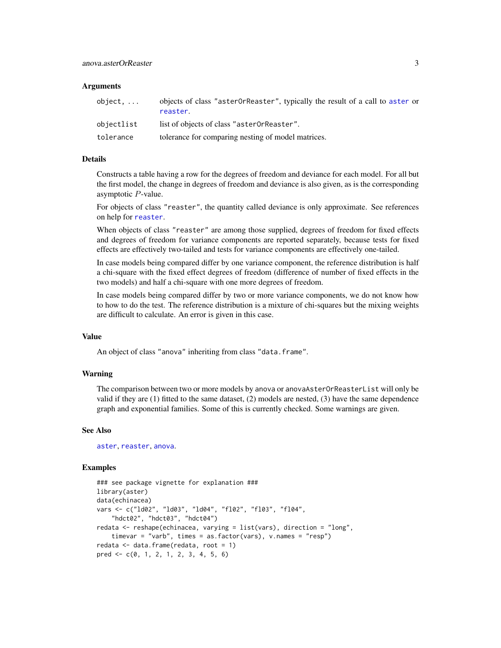#### <span id="page-2-0"></span>Arguments

| object     | objects of class "aster0rReaster", typically the result of a call to aster or<br>reaster. |
|------------|-------------------------------------------------------------------------------------------|
| objectlist | list of objects of class "aster0rReaster".                                                |
| tolerance  | tolerance for comparing nesting of model matrices.                                        |

#### Details

Constructs a table having a row for the degrees of freedom and deviance for each model. For all but the first model, the change in degrees of freedom and deviance is also given, as is the corresponding asymptotic P-value.

For objects of class "reaster", the quantity called deviance is only approximate. See references on help for [reaster](#page-43-1).

When objects of class "reaster" are among those supplied, degrees of freedom for fixed effects and degrees of freedom for variance components are reported separately, because tests for fixed effects are effectively two-tailed and tests for variance components are effectively one-tailed.

In case models being compared differ by one variance component, the reference distribution is half a chi-square with the fixed effect degrees of freedom (difference of number of fixed effects in the two models) and half a chi-square with one more degrees of freedom.

In case models being compared differ by two or more variance components, we do not know how to how to do the test. The reference distribution is a mixture of chi-squares but the mixing weights are difficult to calculate. An error is given in this case.

#### Value

An object of class "anova" inheriting from class "data.frame".

#### Warning

The comparison between two or more models by anova or anovaAsterOrReasterList will only be valid if they are (1) fitted to the same dataset, (2) models are nested, (3) have the same dependence graph and exponential families. Some of this is currently checked. Some warnings are given.

#### See Also

[aster](#page-4-1), [reaster](#page-43-1), [anova](#page-0-0).

#### Examples

```
### see package vignette for explanation ###
library(aster)
data(echinacea)
vars <- c("ld02", "ld03", "ld04", "fl02", "fl03", "fl04",
    "hdct02", "hdct03", "hdct04")
redata <- reshape(echinacea, varying = list(vars), direction = "long",
    timevar = "varb", times = as.factor(vars), v.names = "resp")
redata <- data.frame(redata, root = 1)
pred <- c(0, 1, 2, 1, 2, 3, 4, 5, 6)
```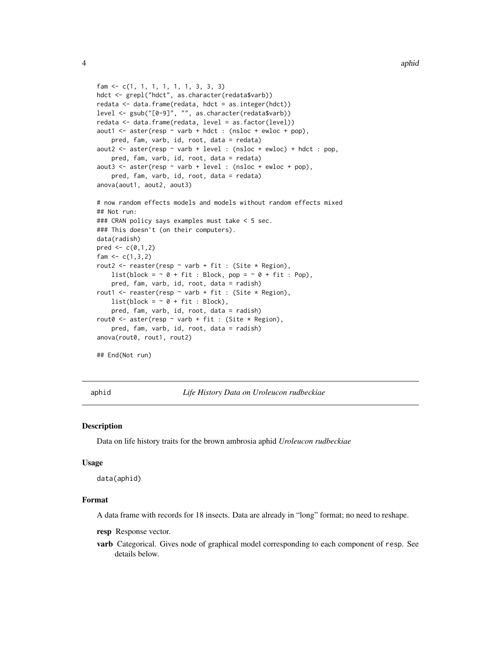```
fam <- c(1, 1, 1, 1, 1, 1, 3, 3, 3)
hdct <- grepl("hdct", as.character(redata$varb))
redata <- data.frame(redata, hdct = as.integer(hdct))
level <- gsub("[0-9]", "", as.character(redata$varb))
redata <- data.frame(redata, level = as.factor(level))
aout1 <- aster(resp \sim varb + hdct : (nsloc + ewloc + pop),
    pred, fam, varb, id, root, data = redata)
aout2 <- aster(resp \sim varb + level : (nsloc + ewloc) + hdct : pop,
    pred, fam, varb, id, root, data = redata)
aout3 <- aster(resp ~ varb + level : (nsloc + ewloc + pop),
    pred, fam, varb, id, root, data = redata)
anova(aout1, aout2, aout3)
# now random effects models and models without random effects mixed
## Not run:
### CRAN policy says examples must take < 5 sec.
### This doesn't (on their computers).
data(radish)
pred \leq c(0,1,2)fam <-c(1,3,2)rout2 <- reaster(resp \sim varb + fit : (Site \star Region),
    list(block = \sim 0 + fit : Block, pop = \sim 0 + fit : Pop),
    pred, fam, varb, id, root, data = radish)
rout1 <- reaster(resp \sim varb + fit : (Site \star Region),
    list(block = \sim 0 + fit : Block),
    pred, fam, varb, id, root, data = radish)
rout0 <- aster(resp \sim varb + fit : (Site * Region),
    pred, fam, varb, id, root, data = radish)
anova(rout0, rout1, rout2)
## End(Not run)
```
aphid *Life History Data on Uroleucon rudbeckiae*

#### Description

Data on life history traits for the brown ambrosia aphid *Uroleucon rudbeckiae*

#### Usage

data(aphid)

# Format

A data frame with records for 18 insects. Data are already in "long" format; no need to reshape.

resp Response vector.

varb Categorical. Gives node of graphical model corresponding to each component of resp. See details below.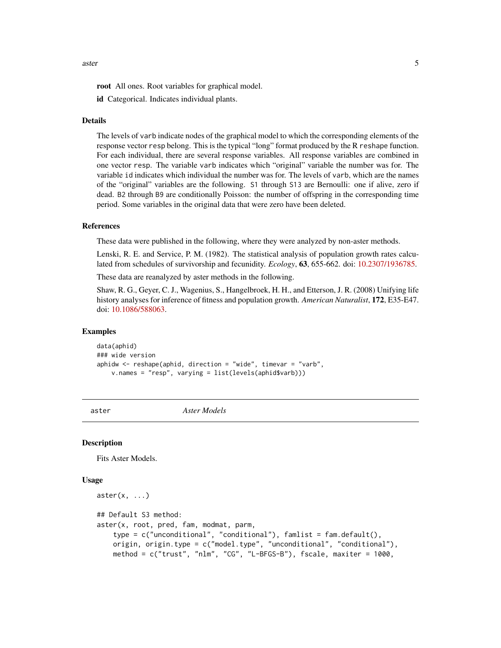#### <span id="page-4-0"></span>aster 5

root All ones. Root variables for graphical model.

id Categorical. Indicates individual plants.

#### Details

The levels of varb indicate nodes of the graphical model to which the corresponding elements of the response vector resp belong. This is the typical "long" format produced by the R reshape function. For each individual, there are several response variables. All response variables are combined in one vector resp. The variable varb indicates which "original" variable the number was for. The variable id indicates which individual the number was for. The levels of varb, which are the names of the "original" variables are the following. S1 through S13 are Bernoulli: one if alive, zero if dead. B2 through B9 are conditionally Poisson: the number of offspring in the corresponding time period. Some variables in the original data that were zero have been deleted.

#### References

These data were published in the following, where they were analyzed by non-aster methods.

Lenski, R. E. and Service, P. M. (1982). The statistical analysis of population growth rates calculated from schedules of survivorship and fecunidity. *Ecology*, 63, 655-662. doi: [10.2307/1936785.](https://doi.org/10.2307/1936785)

These data are reanalyzed by aster methods in the following.

Shaw, R. G., Geyer, C. J., Wagenius, S., Hangelbroek, H. H., and Etterson, J. R. (2008) Unifying life history analyses for inference of fitness and population growth. *American Naturalist*, 172, E35-E47. doi: [10.1086/588063.](https://doi.org/10.1086/588063)

#### Examples

data(aphid) ### wide version aphidw <- reshape(aphid, direction = "wide", timevar = "varb", v.names = "resp", varying = list(levels(aphid\$varb)))

<span id="page-4-1"></span>

aster *Aster Models*

#### <span id="page-4-2"></span>**Description**

Fits Aster Models.

#### Usage

```
aster(x, \ldots)## Default S3 method:
aster(x, root, pred, fam, modmat, parm,
    type = c("unconditional", "conditional"), famlist = fam.default(),
   origin, origin.type = c("model.type", "unconditional", "conditional"),
   method = c("trust", "nlm", "CG", "L-BFGS-B"), fscale, maxiter = 1000,
```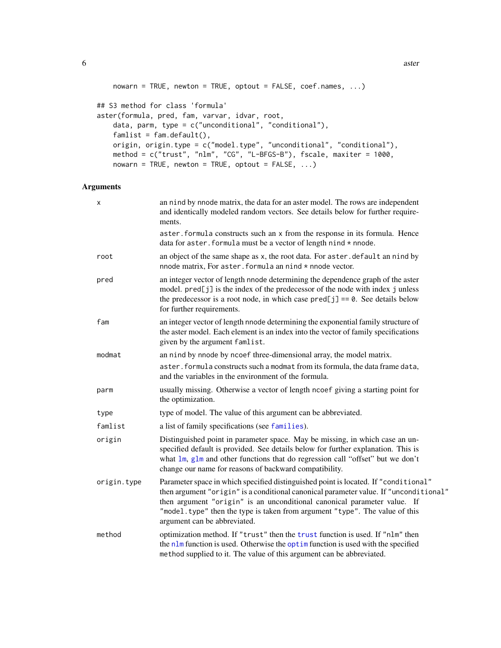```
6 asteroid and the contract of the contract of the contract of the contract of the contract of the contract of the contract of the contract of the contract of the contract of the contract of the contract of the contract of
```

```
nowarn = TRUE, newton = TRUE, optout = FALSE, coef.names, \dots)
## S3 method for class 'formula'
aster(formula, pred, fam, varvar, idvar, root,
   data, parm, type = c("unconditional", "conditional"),
   famlist = fam.default(),
   origin, origin.type = c("model.type", "unconditional", "conditional"),
   method = c("trust", "nlm", "CG", "L-BFGS-B"), fscale, maxiter = 1000,
   nowarn = TRUE, newton = TRUE, optout = FALSE, ...)
```
# Arguments

| X           | an nind by nnode matrix, the data for an aster model. The rows are independent<br>and identically modeled random vectors. See details below for further require-<br>ments.                                                                                                                                                                                              |
|-------------|-------------------------------------------------------------------------------------------------------------------------------------------------------------------------------------------------------------------------------------------------------------------------------------------------------------------------------------------------------------------------|
|             | aster. formula constructs such an x from the response in its formula. Hence<br>data for aster. formula must be a vector of length nind * nnode.                                                                                                                                                                                                                         |
| root        | an object of the same shape as x, the root data. For aster default an nind by<br>nnode matrix, For aster. formula an nind * nnode vector.                                                                                                                                                                                                                               |
| pred        | an integer vector of length nnode determining the dependence graph of the aster<br>model. pred[j] is the index of the predecessor of the node with index j unless<br>the predecessor is a root node, in which case $pred[j] == 0$ . See details below<br>for further requirements.                                                                                      |
| fam         | an integer vector of length nnode determining the exponential family structure of<br>the aster model. Each element is an index into the vector of family specifications<br>given by the argument famlist.                                                                                                                                                               |
| modmat      | an nind by nnode by ncoef three-dimensional array, the model matrix.                                                                                                                                                                                                                                                                                                    |
|             | aster. formula constructs such a modmat from its formula, the data frame data,<br>and the variables in the environment of the formula.                                                                                                                                                                                                                                  |
| parm        | usually missing. Otherwise a vector of length ncoef giving a starting point for<br>the optimization.                                                                                                                                                                                                                                                                    |
| type        | type of model. The value of this argument can be abbreviated.                                                                                                                                                                                                                                                                                                           |
| famlist     | a list of family specifications (see families).                                                                                                                                                                                                                                                                                                                         |
| origin      | Distinguished point in parameter space. May be missing, in which case an un-<br>specified default is provided. See details below for further explanation. This is<br>what lm, glm and other functions that do regression call "offset" but we don't<br>change our name for reasons of backward compatibility.                                                           |
| origin.type | Parameter space in which specified distinguished point is located. If "conditional"<br>then argument "origin" is a conditional canonical parameter value. If "unconditional"<br>then argument "origin" is an unconditional canonical parameter value. If<br>"model.type" then the type is taken from argument "type". The value of this<br>argument can be abbreviated. |
| method      | optimization method. If "trust" then the trust function is used. If "nlm" then<br>the nlm function is used. Otherwise the optim function is used with the specified<br>method supplied to it. The value of this argument can be abbreviated.                                                                                                                            |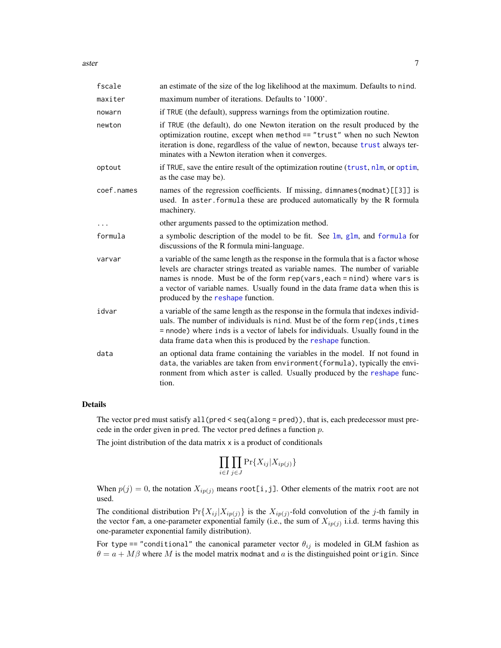<span id="page-6-0"></span>aster 7 and 2008 and 2008 and 2008 and 2008 and 2008 and 2008 and 2008 and 2008 and 2008 and 2008 and 2008 and 2008 and 2008 and 2008 and 2008 and 2008 and 2008 and 2008 and 2008 and 2008 and 2008 and 2008 and 2008 and 200

| fscale     | an estimate of the size of the log likelihood at the maximum. Defaults to nind.                                                                                                                                                                                                                                                                                         |
|------------|-------------------------------------------------------------------------------------------------------------------------------------------------------------------------------------------------------------------------------------------------------------------------------------------------------------------------------------------------------------------------|
| maxiter    | maximum number of iterations. Defaults to '1000'.                                                                                                                                                                                                                                                                                                                       |
| nowarn     | if TRUE (the default), suppress warnings from the optimization routine.                                                                                                                                                                                                                                                                                                 |
| newton     | if TRUE (the default), do one Newton iteration on the result produced by the<br>optimization routine, except when method == "trust" when no such Newton<br>iteration is done, regardless of the value of newton, because trust always ter-<br>minates with a Newton iteration when it converges.                                                                        |
| optout     | if TRUE, save the entire result of the optimization routine (trust, nlm, or optim,<br>as the case may be).                                                                                                                                                                                                                                                              |
| coef.names | names of the regression coefficients. If missing, dimnames (modmat) [[3]] is<br>used. In aster formula these are produced automatically by the R formula<br>machinery.                                                                                                                                                                                                  |
|            | other arguments passed to the optimization method.                                                                                                                                                                                                                                                                                                                      |
| formula    | a symbolic description of the model to be fit. See lm, glm, and formula for<br>discussions of the R formula mini-language.                                                                                                                                                                                                                                              |
| varvar     | a variable of the same length as the response in the formula that is a factor whose<br>levels are character strings treated as variable names. The number of variable<br>names is nnode. Must be of the form rep(vars, each = nind) where vars is<br>a vector of variable names. Usually found in the data frame data when this is<br>produced by the reshape function. |
| idvar      | a variable of the same length as the response in the formula that indexes individ-<br>uals. The number of individuals is nind. Must be of the form rep(inds, times<br>= nnode) where inds is a vector of labels for individuals. Usually found in the<br>data frame data when this is produced by the reshape function.                                                 |
| data       | an optional data frame containing the variables in the model. If not found in<br>data, the variables are taken from environment (formula), typically the envi-<br>ronment from which aster is called. Usually produced by the reshape func-<br>tion.                                                                                                                    |

# Details

The vector pred must satisfy  $all(pred < seq(along = pred)$ , that is, each predecessor must precede in the order given in pred. The vector pred defines a function p.

The joint distribution of the data matrix x is a product of conditionals

$$
\prod_{i \in I} \prod_{j \in J} \Pr{X_{ij} | X_{ip(j)}}\}
$$

When  $p(j) = 0$ , the notation  $X_{ip(j)}$  means root[i,j]. Other elements of the matrix root are not used.

The conditional distribution  $Pr{X_{ij} | X_{ip(j)}}$  is the  $X_{ip(j)}$ -fold convolution of the j-th family in the vector fam, a one-parameter exponential family (i.e., the sum of  $X_{ip(j)}$  i.i.d. terms having this one-parameter exponential family distribution).

For type == "conditional" the canonical parameter vector  $\theta_{ij}$  is modeled in GLM fashion as  $\theta = a + M\beta$  where M is the model matrix modmat and a is the distinguished point origin. Since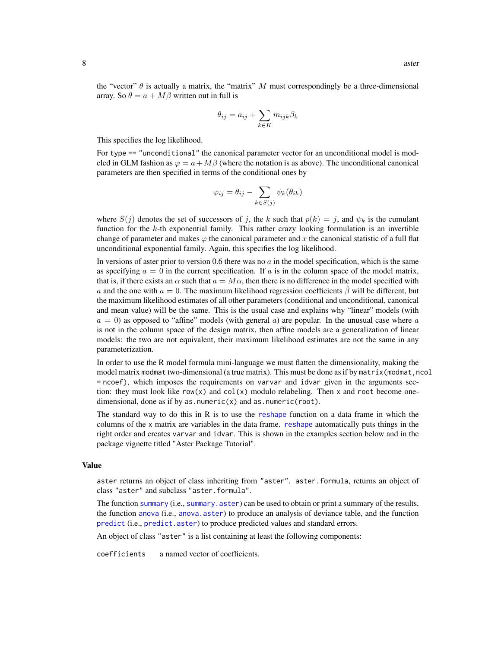<span id="page-7-0"></span>the "vector"  $\theta$  is actually a matrix, the "matrix" M must correspondingly be a three-dimensional array. So  $\theta = a + M\beta$  written out in full is

$$
\theta_{ij} = a_{ij} + \sum_{k \in K} m_{ijk} \beta_k
$$

This specifies the log likelihood.

For type == "unconditional" the canonical parameter vector for an unconditional model is modeled in GLM fashion as  $\varphi = a + M\beta$  (where the notation is as above). The unconditional canonical parameters are then specified in terms of the conditional ones by

$$
\varphi_{ij} = \theta_{ij} - \sum_{k \in S(j)} \psi_k(\theta_{ik})
$$

where  $S(j)$  denotes the set of successors of j, the k such that  $p(k) = j$ , and  $\psi_k$  is the cumulant function for the k-th exponential family. This rather crazy looking formulation is an invertible change of parameter and makes  $\varphi$  the canonical parameter and x the canonical statistic of a full flat unconditional exponential family. Again, this specifies the log likelihood.

In versions of aster prior to version 0.6 there was no  $\alpha$  in the model specification, which is the same as specifying  $a = 0$  in the current specification. If a is in the column space of the model matrix, that is, if there exists an  $\alpha$  such that  $a = M\alpha$ , then there is no difference in the model specified with a and the one with  $a = 0$ . The maximum likelihood regression coefficients  $\beta$  will be different, but the maximum likelihood estimates of all other parameters (conditional and unconditional, canonical and mean value) will be the same. This is the usual case and explains why "linear" models (with  $a = 0$ ) as opposed to "affine" models (with general a) are popular. In the unusual case where a is not in the column space of the design matrix, then affine models are a generalization of linear models: the two are not equivalent, their maximum likelihood estimates are not the same in any parameterization.

In order to use the R model formula mini-language we must flatten the dimensionality, making the model matrix modmat two-dimensional (a true matrix). This must be done as if by matrix (modmat, ncol = ncoef), which imposes the requirements on varvar and idvar given in the arguments section: they must look like  $row(x)$  and  $col(x)$  modulo relabeling. Then x and root become onedimensional, done as if by as. numeric $(x)$  and as. numeric(root).

The standard way to do this in  $R$  is to use the [reshape](#page-0-0) function on a data frame in which the columns of the x matrix are variables in the data frame. [reshape](#page-0-0) automatically puts things in the right order and creates varvar and idvar. This is shown in the examples section below and in the package vignette titled "Aster Package Tutorial".

#### Value

aster returns an object of class inheriting from "aster". aster.formula, returns an object of class "aster" and subclass "aster.formula".

The function [summary](#page-0-0) (i.e., [summary.aster](#page-48-1)) can be used to obtain or print a summary of the results, the function [anova](#page-0-0) (i.e., [anova.aster](#page-1-1)) to produce an analysis of deviance table, and the function [predict](#page-0-0) (i.e., [predict.aster](#page-33-1)) to produce predicted values and standard errors.

An object of class "aster" is a list containing at least the following components:

coefficients a named vector of coefficients.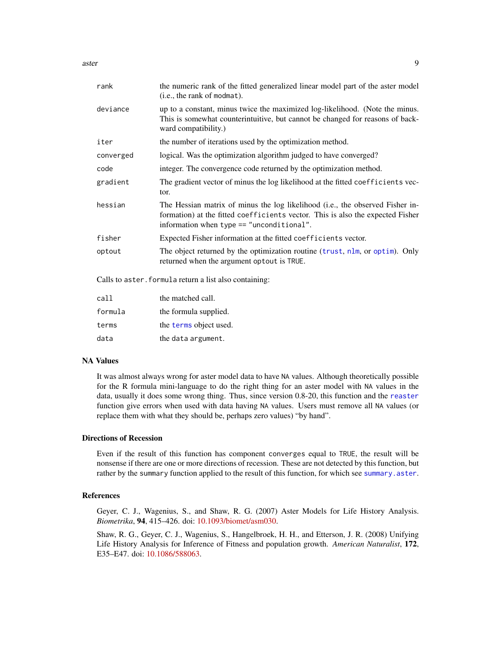<span id="page-8-0"></span>aster 9

| rank      | the numeric rank of the fitted generalized linear model part of the aster model<br>(i.e., the rank of modmat).                                                                                                 |
|-----------|----------------------------------------------------------------------------------------------------------------------------------------------------------------------------------------------------------------|
| deviance  | up to a constant, minus twice the maximized log-likelihood. (Note the minus.<br>This is somewhat counterintuitive, but cannot be changed for reasons of back-<br>ward compatibility.)                          |
| iter      | the number of iterations used by the optimization method.                                                                                                                                                      |
| converged | logical. Was the optimization algorithm judged to have converged?                                                                                                                                              |
| code      | integer. The convergence code returned by the optimization method.                                                                                                                                             |
| gradient  | The gradient vector of minus the log likelihood at the fitted coefficients vec-<br>tor.                                                                                                                        |
| hessian   | The Hessian matrix of minus the log likelihood (i.e., the observed Fisher in-<br>formation) at the fitted coefficients vector. This is also the expected Fisher<br>information when type $==$ "unconditional". |
| fisher    | Expected Fisher information at the fitted coefficients vector.                                                                                                                                                 |
| optout    | The object returned by the optimization routine (trust, nlm, or optim). Only<br>returned when the argument optout is TRUE.                                                                                     |
|           |                                                                                                                                                                                                                |

Calls to aster.formula return a list also containing:

| call    | the matched call.      |
|---------|------------------------|
| formula | the formula supplied.  |
| terms   | the terms object used. |
| data    | the data argument.     |

# NA Values

It was almost always wrong for aster model data to have NA values. Although theoretically possible for the R formula mini-language to do the right thing for an aster model with NA values in the data, usually it does some wrong thing. Thus, since version 0.8-20, this function and the [reaster](#page-43-1) function give errors when used with data having NA values. Users must remove all NA values (or replace them with what they should be, perhaps zero values) "by hand".

# Directions of Recession

Even if the result of this function has component converges equal to TRUE, the result will be nonsense if there are one or more directions of recession. These are not detected by this function, but rather by the summary function applied to the result of this function, for which see [summary.aster](#page-48-1).

#### References

Geyer, C. J., Wagenius, S., and Shaw, R. G. (2007) Aster Models for Life History Analysis. *Biometrika*, 94, 415–426. doi: [10.1093/biomet/asm030.](https://doi.org/10.1093/biomet/asm030)

Shaw, R. G., Geyer, C. J., Wagenius, S., Hangelbroek, H. H., and Etterson, J. R. (2008) Unifying Life History Analysis for Inference of Fitness and population growth. *American Naturalist*, 172, E35–E47. doi: [10.1086/588063.](https://doi.org/10.1086/588063)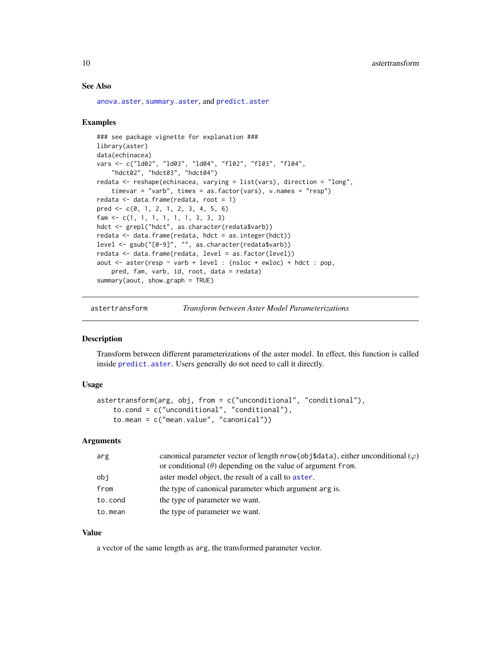## See Also

```
anova.aster, summary.aster, and predict.aster
```
#### Examples

```
### see package vignette for explanation ###
library(aster)
data(echinacea)
vars <- c("ld02", "ld03", "ld04", "fl02", "fl03", "fl04",
    "hdct02", "hdct03", "hdct04")
redata <- reshape(echinacea, varying = list(vars), direction = "long",
    timevar = "varb", times = as.factor(vars), v.names = "resp")
redata <- data.frame(redata, root = 1)
pred <- c(0, 1, 2, 1, 2, 3, 4, 5, 6)
fam <- c(1, 1, 1, 1, 1, 1, 3, 3, 3)
hdct <- grepl("hdct", as.character(redata$varb))
redata <- data.frame(redata, hdct = as.integer(hdct))
level <- gsub("[0-9]", "", as.character(redata$varb))
redata <- data.frame(redata, level = as.factor(level))
aout <- aster(resp ~ varb + level : (nsloc + ewloc) + hdct : pop,
    pred, fam, varb, id, root, data = redata)
summary(aout, show.graph = TRUE)
```
astertransform *Transform between Aster Model Parameterizations*

#### **Description**

Transform between different parameterizations of the aster model. In effect, this function is called inside [predict.aster](#page-33-1). Users generally do not need to call it directly.

#### Usage

```
astertransform(arg, obj, from = c("unconditional", "conditional"),
    to.cond = c("unconditional", "conditional"),
    to.mean = c("mean.value", "canonical"))
```
#### Arguments

| arg     | canonical parameter vector of length nrow(obj\$data), either unconditional $(\varphi)$ |
|---------|----------------------------------------------------------------------------------------|
|         | or conditional $(\theta)$ depending on the value of argument from.                     |
| obi     | aster model object, the result of a call to aster.                                     |
| from    | the type of canonical parameter which argument arg is.                                 |
| to.cond | the type of parameter we want.                                                         |
| to.mean | the type of parameter we want.                                                         |

## Value

a vector of the same length as arg, the transformed parameter vector.

<span id="page-9-0"></span>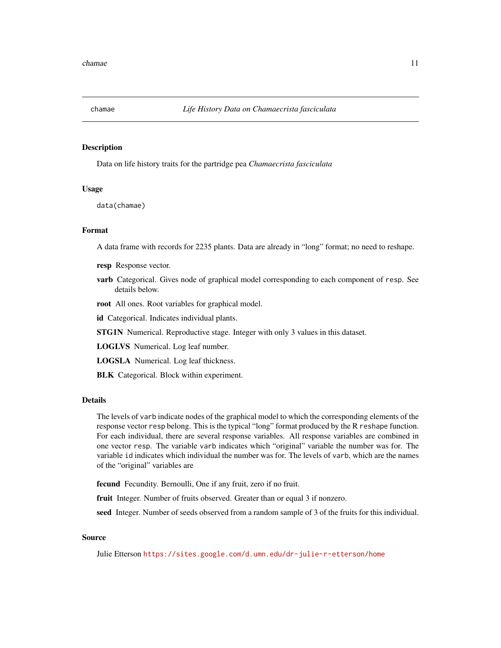<span id="page-10-0"></span>

# Description

Data on life history traits for the partridge pea *Chamaecrista fasciculata*

#### Usage

data(chamae)

# Format

A data frame with records for 2235 plants. Data are already in "long" format; no need to reshape.

- resp Response vector.
- varb Categorical. Gives node of graphical model corresponding to each component of resp. See details below.
- root All ones. Root variables for graphical model.
- id Categorical. Indicates individual plants.
- STG1N Numerical. Reproductive stage. Integer with only 3 values in this dataset.
- LOGLVS Numerical. Log leaf number.
- LOGSLA Numerical. Log leaf thickness.
- BLK Categorical. Block within experiment.

# Details

The levels of varb indicate nodes of the graphical model to which the corresponding elements of the response vector resp belong. This is the typical "long" format produced by the R reshape function. For each individual, there are several response variables. All response variables are combined in one vector resp. The variable varb indicates which "original" variable the number was for. The variable id indicates which individual the number was for. The levels of varb, which are the names of the "original" variables are

fecund Fecundity. Bernoulli, One if any fruit, zero if no fruit.

fruit Integer. Number of fruits observed. Greater than or equal 3 if nonzero.

seed Integer. Number of seeds observed from a random sample of 3 of the fruits for this individual.

#### Source

Julie Etterson <https://sites.google.com/d.umn.edu/dr-julie-r-etterson/home>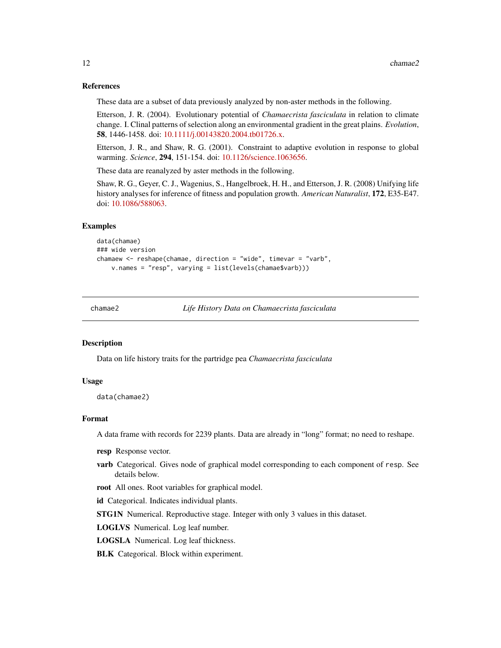#### <span id="page-11-0"></span>References

These data are a subset of data previously analyzed by non-aster methods in the following.

Etterson, J. R. (2004). Evolutionary potential of *Chamaecrista fasciculata* in relation to climate change. I. Clinal patterns of selection along an environmental gradient in the great plains. *Evolution*, 58, 1446-1458. doi: [10.1111/j.00143820.2004.tb01726.x.](https://doi.org/10.1111/j.0014-3820.2004.tb01726.x)

Etterson, J. R., and Shaw, R. G. (2001). Constraint to adaptive evolution in response to global warming. *Science*, 294, 151-154. doi: [10.1126/science.1063656.](https://doi.org/10.1126/science.1063656)

These data are reanalyzed by aster methods in the following.

Shaw, R. G., Geyer, C. J., Wagenius, S., Hangelbroek, H. H., and Etterson, J. R. (2008) Unifying life history analyses for inference of fitness and population growth. *American Naturalist*, 172, E35-E47. doi: [10.1086/588063.](https://doi.org/10.1086/588063)

#### Examples

```
data(chamae)
### wide version
chamaew <- reshape(chamae, direction = "wide", timevar = "varb",
    v.names = "resp", varying = list(levels(chamae$varb)))
```
chamae2 *Life History Data on Chamaecrista fasciculata*

#### Description

Data on life history traits for the partridge pea *Chamaecrista fasciculata*

#### Usage

```
data(chamae2)
```
#### Format

A data frame with records for 2239 plants. Data are already in "long" format; no need to reshape.

- resp Response vector.
- varb Categorical. Gives node of graphical model corresponding to each component of resp. See details below.

root All ones. Root variables for graphical model.

id Categorical. Indicates individual plants.

STG1N Numerical. Reproductive stage. Integer with only 3 values in this dataset.

LOGLVS Numerical. Log leaf number.

LOGSLA Numerical. Log leaf thickness.

**BLK** Categorical. Block within experiment.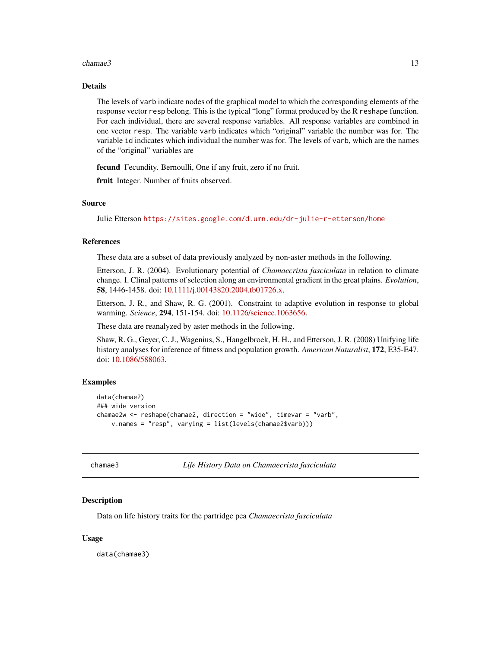#### <span id="page-12-0"></span>chamae3 13

# Details

The levels of varb indicate nodes of the graphical model to which the corresponding elements of the response vector resp belong. This is the typical "long" format produced by the R reshape function. For each individual, there are several response variables. All response variables are combined in one vector resp. The variable varb indicates which "original" variable the number was for. The variable id indicates which individual the number was for. The levels of varb, which are the names of the "original" variables are

fecund Fecundity. Bernoulli, One if any fruit, zero if no fruit.

fruit Integer. Number of fruits observed.

#### Source

Julie Etterson <https://sites.google.com/d.umn.edu/dr-julie-r-etterson/home>

#### References

These data are a subset of data previously analyzed by non-aster methods in the following.

Etterson, J. R. (2004). Evolutionary potential of *Chamaecrista fasciculata* in relation to climate change. I. Clinal patterns of selection along an environmental gradient in the great plains. *Evolution*, 58, 1446-1458. doi: [10.1111/j.00143820.2004.tb01726.x.](https://doi.org/10.1111/j.0014-3820.2004.tb01726.x)

Etterson, J. R., and Shaw, R. G. (2001). Constraint to adaptive evolution in response to global warming. *Science*, 294, 151-154. doi: [10.1126/science.1063656.](https://doi.org/10.1126/science.1063656)

These data are reanalyzed by aster methods in the following.

Shaw, R. G., Geyer, C. J., Wagenius, S., Hangelbroek, H. H., and Etterson, J. R. (2008) Unifying life history analyses for inference of fitness and population growth. *American Naturalist*, 172, E35-E47. doi: [10.1086/588063.](https://doi.org/10.1086/588063)

## Examples

```
data(chamae2)
### wide version
chamae2w <- reshape(chamae2, direction = "wide", timevar = "varb",
    v.names = "resp", varying = list(levels(chamae2$varb)))
```

```
chamae3 Life History Data on Chamaecrista fasciculata
```
#### Description

Data on life history traits for the partridge pea *Chamaecrista fasciculata*

#### Usage

data(chamae3)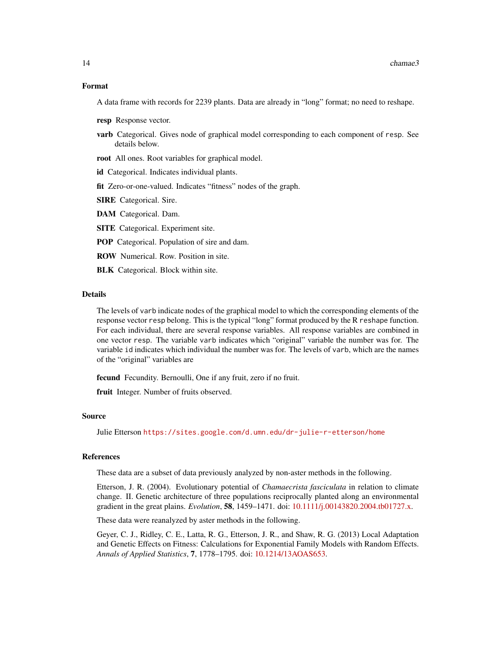#### Format

A data frame with records for 2239 plants. Data are already in "long" format; no need to reshape.

- resp Response vector.
- varb Categorical. Gives node of graphical model corresponding to each component of resp. See details below.
- root All ones. Root variables for graphical model.

id Categorical. Indicates individual plants.

fit Zero-or-one-valued. Indicates "fitness" nodes of the graph.

**SIRE** Categorical. Sire.

DAM Categorical. Dam.

**SITE** Categorical. Experiment site.

- POP Categorical. Population of sire and dam.
- ROW Numerical. Row. Position in site.

**BLK** Categorical. Block within site.

#### Details

The levels of varb indicate nodes of the graphical model to which the corresponding elements of the response vector resp belong. This is the typical "long" format produced by the R reshape function. For each individual, there are several response variables. All response variables are combined in one vector resp. The variable varb indicates which "original" variable the number was for. The variable id indicates which individual the number was for. The levels of varb, which are the names of the "original" variables are

fecund Fecundity. Bernoulli, One if any fruit, zero if no fruit.

fruit Integer. Number of fruits observed.

#### Source

Julie Etterson <https://sites.google.com/d.umn.edu/dr-julie-r-etterson/home>

#### References

These data are a subset of data previously analyzed by non-aster methods in the following.

Etterson, J. R. (2004). Evolutionary potential of *Chamaecrista fasciculata* in relation to climate change. II. Genetic architecture of three populations reciprocally planted along an environmental gradient in the great plains. *Evolution*, 58, 1459–1471. doi: [10.1111/j.00143820.2004.tb01727.x.](https://doi.org/10.1111/j.0014-3820.2004.tb01727.x)

These data were reanalyzed by aster methods in the following.

Geyer, C. J., Ridley, C. E., Latta, R. G., Etterson, J. R., and Shaw, R. G. (2013) Local Adaptation and Genetic Effects on Fitness: Calculations for Exponential Family Models with Random Effects. *Annals of Applied Statistics*, 7, 1778–1795. doi: [10.1214/13AOAS653.](https://doi.org/10.1214/13-AOAS653)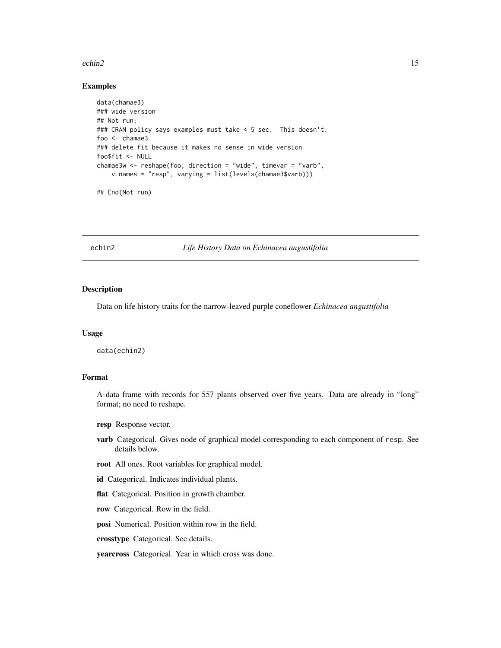#### <span id="page-14-0"></span>echin2 15

## Examples

```
data(chamae3)
### wide version
## Not run:
### CRAN policy says examples must take < 5 sec. This doesn't.
foo <- chamae3
### delete fit because it makes no sense in wide version
foo$fit <- NULL
chamae3w <- reshape(foo, direction = "wide", timevar = "varb",
   v.names = "resp", varying = list(levels(chamae3$varb)))
```
## End(Not run)

echin2 *Life History Data on Echinacea angustifolia*

#### Description

Data on life history traits for the narrow-leaved purple coneflower *Echinacea angustifolia*

# Usage

data(echin2)

# Format

A data frame with records for 557 plants observed over five years. Data are already in "long" format; no need to reshape.

resp Response vector.

- varb Categorical. Gives node of graphical model corresponding to each component of resp. See details below.
- root All ones. Root variables for graphical model.

id Categorical. Indicates individual plants.

flat Categorical. Position in growth chamber.

row Categorical. Row in the field.

posi Numerical. Position within row in the field.

crosstype Categorical. See details.

yearcross Categorical. Year in which cross was done.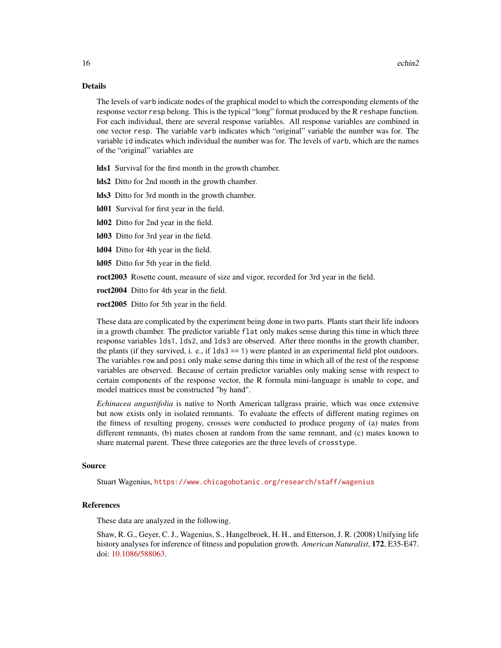#### Details

The levels of varb indicate nodes of the graphical model to which the corresponding elements of the response vector resp belong. This is the typical "long" format produced by the R reshape function. For each individual, there are several response variables. All response variables are combined in one vector resp. The variable varb indicates which "original" variable the number was for. The variable id indicates which individual the number was for. The levels of varb, which are the names of the "original" variables are

lds1 Survival for the first month in the growth chamber.

lds2 Ditto for 2nd month in the growth chamber.

lds3 Ditto for 3rd month in the growth chamber.

ld01 Survival for first year in the field.

ld02 Ditto for 2nd year in the field.

ld03 Ditto for 3rd year in the field.

ld04 Ditto for 4th year in the field.

ld05 Ditto for 5th year in the field.

roct2003 Rosette count, measure of size and vigor, recorded for 3rd year in the field.

roct2004 Ditto for 4th year in the field.

roct2005 Ditto for 5th year in the field.

These data are complicated by the experiment being done in two parts. Plants start their life indoors in a growth chamber. The predictor variable flat only makes sense during this time in which three response variables lds1, lds2, and lds3 are observed. After three months in the growth chamber, the plants (if they survived, i. e., if lds3 == 1) were planted in an experimental field plot outdoors. The variables row and posi only make sense during this time in which all of the rest of the response variables are observed. Because of certain predictor variables only making sense with respect to certain components of the response vector, the R formula mini-language is unable to cope, and model matrices must be constructed "by hand".

*Echinacea angustifolia* is native to North American tallgrass prairie, which was once extensive but now exists only in isolated remnants. To evaluate the effects of different mating regimes on the fitness of resulting progeny, crosses were conducted to produce progeny of (a) mates from different remnants, (b) mates chosen at random from the same remnant, and (c) mates known to share maternal parent. These three categories are the three levels of crosstype.

#### Source

Stuart Wagenius, <https://www.chicagobotanic.org/research/staff/wagenius>

# References

These data are analyzed in the following.

Shaw, R. G., Geyer, C. J., Wagenius, S., Hangelbroek, H. H., and Etterson, J. R. (2008) Unifying life history analyses for inference of fitness and population growth. *American Naturalist*, 172, E35-E47. doi: [10.1086/588063.](https://doi.org/10.1086/588063)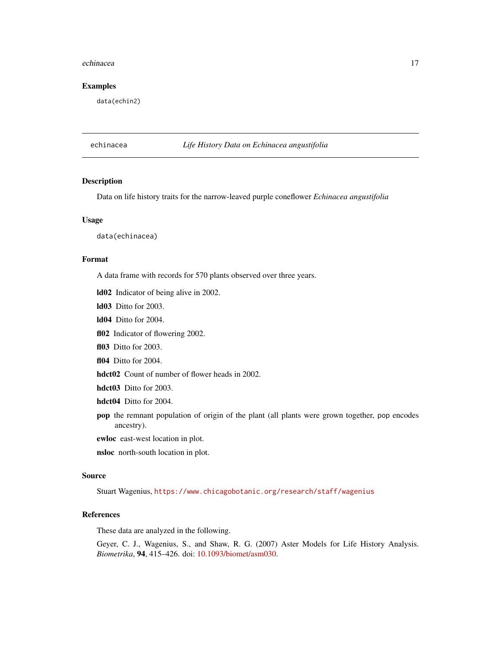#### <span id="page-16-0"></span>echinacea **17**

#### Examples

data(echin2)

# echinacea *Life History Data on Echinacea angustifolia*

#### Description

Data on life history traits for the narrow-leaved purple coneflower *Echinacea angustifolia*

#### Usage

data(echinacea)

#### Format

A data frame with records for 570 plants observed over three years.

ld02 Indicator of being alive in 2002.

ld03 Ditto for 2003.

ld04 Ditto for 2004.

fl02 Indicator of flowering 2002.

fl03 Ditto for 2003.

fl04 Ditto for 2004.

hdct02 Count of number of flower heads in 2002.

hdct03 Ditto for 2003.

hdct04 Ditto for 2004.

pop the remnant population of origin of the plant (all plants were grown together, pop encodes ancestry).

ewloc east-west location in plot.

nsloc north-south location in plot.

#### Source

Stuart Wagenius, <https://www.chicagobotanic.org/research/staff/wagenius>

## References

These data are analyzed in the following.

Geyer, C. J., Wagenius, S., and Shaw, R. G. (2007) Aster Models for Life History Analysis. *Biometrika*, 94, 415–426. doi: [10.1093/biomet/asm030.](https://doi.org/10.1093/biomet/asm030)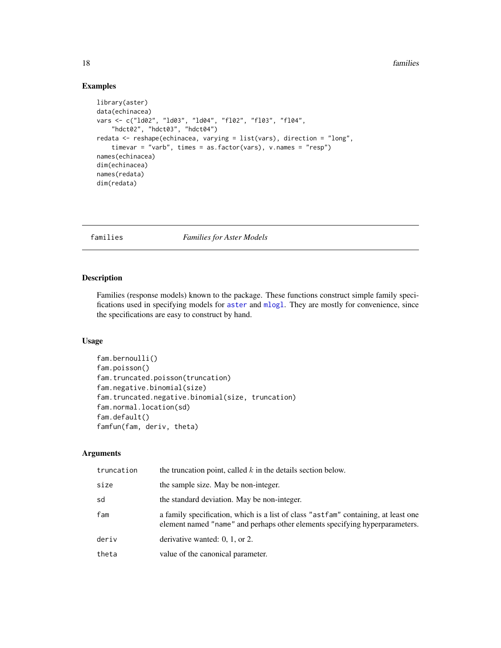# Examples

```
library(aster)
data(echinacea)
vars <- c("ld02", "ld03", "ld04", "fl02", "fl03", "fl04",
    "hdct02", "hdct03", "hdct04")
redata <- reshape(echinacea, varying = list(vars), direction = "long",
    timevar = "varb", times = as.factor(vars), v.names = "resp")
names(echinacea)
dim(echinacea)
names(redata)
dim(redata)
```
<span id="page-17-1"></span>families *Families for Aster Models*

#### Description

Families (response models) known to the package. These functions construct simple family specifications used in specifying models for [aster](#page-4-1) and [mlogl](#page-22-1). They are mostly for convenience, since the specifications are easy to construct by hand.

## Usage

```
fam.bernoulli()
fam.poisson()
fam.truncated.poisson(truncation)
fam.negative.binomial(size)
fam.truncated.negative.binomial(size, truncation)
fam.normal.location(sd)
fam.default()
famfun(fam, deriv, theta)
```
## Arguments

| truncation | the truncation point, called $k$ in the details section below.                                                                                                    |
|------------|-------------------------------------------------------------------------------------------------------------------------------------------------------------------|
| size       | the sample size. May be non-integer.                                                                                                                              |
| sd         | the standard deviation. May be non-integer.                                                                                                                       |
| fam        | a family specification, which is a list of class "astfam" containing, at least one<br>element named "name" and perhaps other elements specifying hyperparameters. |
| deriv      | derivative wanted: $0, 1,$ or $2$ .                                                                                                                               |
| theta      | value of the canonical parameter.                                                                                                                                 |

<span id="page-17-0"></span>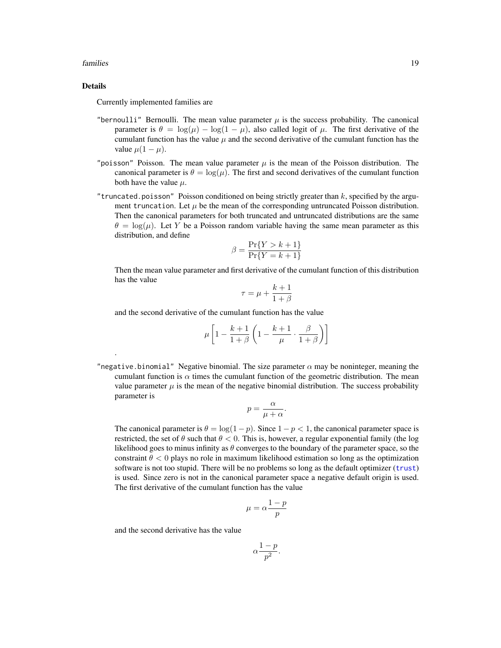#### <span id="page-18-0"></span>families that the contract of the contract of the contract of the contract of the contract of the contract of the contract of the contract of the contract of the contract of the contract of the contract of the contract of

# Details

.

Currently implemented families are

- "bernoulli" Bernoulli. The mean value parameter  $\mu$  is the success probability. The canonical parameter is  $\theta = \log(\mu) - \log(1 - \mu)$ , also called logit of  $\mu$ . The first derivative of the cumulant function has the value  $\mu$  and the second derivative of the cumulant function has the value  $\mu(1-\mu)$ .
- "poisson" Poisson. The mean value parameter  $\mu$  is the mean of the Poisson distribution. The canonical parameter is  $\theta = \log(\mu)$ . The first and second derivatives of the cumulant function both have the value  $\mu$ .
- "truncated.poisson" Poisson conditioned on being strictly greater than  $k$ , specified by the argument truncation. Let  $\mu$  be the mean of the corresponding untruncated Poisson distribution. Then the canonical parameters for both truncated and untruncated distributions are the same  $\theta = \log(\mu)$ . Let Y be a Poisson random variable having the same mean parameter as this distribution, and define

$$
\beta = \frac{\Pr\{Y > k+1\}}{\Pr\{Y = k+1\}}
$$

Then the mean value parameter and first derivative of the cumulant function of this distribution has the value

$$
\tau = \mu + \frac{k+1}{1+\beta}
$$

and the second derivative of the cumulant function has the value

$$
\mu \left[ 1 - \frac{k+1}{1+\beta} \left( 1 - \frac{k+1}{\mu} \cdot \frac{\beta}{1+\beta} \right) \right]
$$

"negative.binomial" Negative binomial. The size parameter  $\alpha$  may be noninteger, meaning the cumulant function is  $\alpha$  times the cumulant function of the geometric distribution. The mean value parameter  $\mu$  is the mean of the negative binomial distribution. The success probability parameter is

$$
p = \frac{\alpha}{\mu + \alpha}.
$$

The canonical parameter is  $\theta = \log(1-p)$ . Since  $1-p < 1$ , the canonical parameter space is restricted, the set of  $\theta$  such that  $\theta < 0$ . This is, however, a regular exponential family (the log likelihood goes to minus infinity as  $\theta$  converges to the boundary of the parameter space, so the constraint  $\theta$  < 0 plays no role in maximum likelihood estimation so long as the optimization software is not too stupid. There will be no problems so long as the default optimizer ([trust](#page-0-0)) is used. Since zero is not in the canonical parameter space a negative default origin is used. The first derivative of the cumulant function has the value

$$
\mu = \alpha \frac{1-p}{p}
$$

and the second derivative has the value

$$
\alpha \frac{1-p}{p^2}.
$$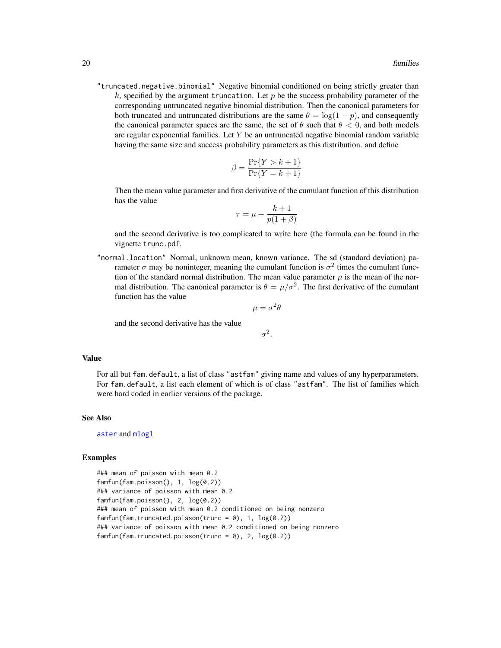<span id="page-19-0"></span>"truncated.negative.binomial" Negative binomial conditioned on being strictly greater than k, specified by the argument truncation. Let p be the success probability parameter of the corresponding untruncated negative binomial distribution. Then the canonical parameters for both truncated and untruncated distributions are the same  $\theta = \log(1 - p)$ , and consequently the canonical parameter spaces are the same, the set of  $\theta$  such that  $\theta < 0$ , and both models are regular exponential families. Let  $Y$  be an untruncated negative binomial random variable having the same size and success probability parameters as this distribution. and define

$$
\beta = \frac{\Pr\{Y > k + 1\}}{\Pr\{Y = k + 1\}}
$$

Then the mean value parameter and first derivative of the cumulant function of this distribution has the value

$$
\tau = \mu + \frac{k+1}{p(1+\beta)}
$$

and the second derivative is too complicated to write here (the formula can be found in the vignette trunc.pdf.

"normal.location" Normal, unknown mean, known variance. The sd (standard deviation) parameter  $\sigma$  may be noninteger, meaning the cumulant function is  $\sigma^2$  times the cumulant function of the standard normal distribution. The mean value parameter  $\mu$  is the mean of the normal distribution. The canonical parameter is  $\theta = \mu/\sigma^2$ . The first derivative of the cumulant function has the value

$$
\mu = \sigma^2 \theta
$$

and the second derivative has the value

 $\sigma^2$ .

#### Value

For all but fam.default, a list of class "astfam" giving name and values of any hyperparameters. For fam.default, a list each element of which is of class "astfam". The list of families which were hard coded in earlier versions of the package.

# See Also

[aster](#page-4-1) and [mlogl](#page-22-1)

#### Examples

```
### mean of poisson with mean 0.2
famfun(fam.poisson(), 1, log(0.2))
### variance of poisson with mean 0.2
famfun(fam.poisson(), 2, log(0.2))
### mean of poisson with mean 0.2 conditioned on being nonzero
famfun(fam.truncated.poisson(trunc = 0), 1, log(0.2))### variance of poisson with mean 0.2 conditioned on being nonzero
famfun(fam.truncated.poisson(trunc = 0), 2, log(0.2))
```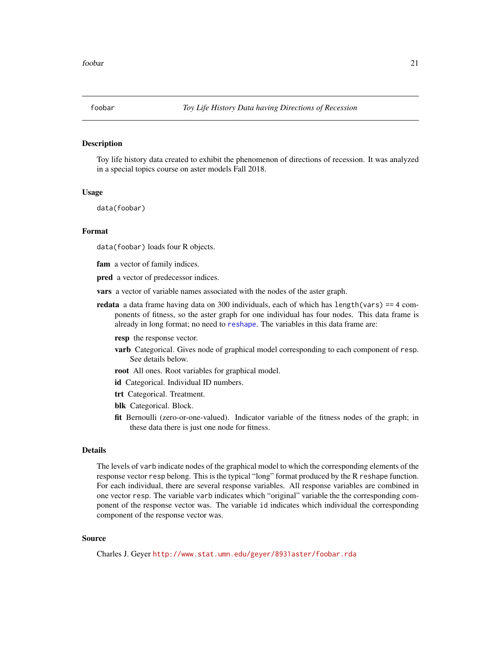# <span id="page-20-1"></span><span id="page-20-0"></span>Description

Toy life history data created to exhibit the phenomenon of directions of recession. It was analyzed in a special topics course on aster models Fall 2018.

#### Usage

data(foobar)

#### Format

data(foobar) loads four R objects.

fam a vector of family indices.

pred a vector of predecessor indices.

vars a vector of variable names associated with the nodes of the aster graph.

redata a data frame having data on 300 individuals, each of which has  $length(vars) == 4$  components of fitness, so the aster graph for one individual has four nodes. This data frame is already in long format; no need to [reshape](#page-0-0). The variables in this data frame are:

resp the response vector.

- varb Categorical. Gives node of graphical model corresponding to each component of resp. See details below.
- root All ones. Root variables for graphical model.
- id Categorical. Individual ID numbers.
- trt Categorical. Treatment.
- blk Categorical. Block.
- fit Bernoulli (zero-or-one-valued). Indicator variable of the fitness nodes of the graph; in these data there is just one node for fitness.

# Details

The levels of varb indicate nodes of the graphical model to which the corresponding elements of the response vector resp belong. This is the typical "long" format produced by the R reshape function. For each individual, there are several response variables. All response variables are combined in one vector resp. The variable varb indicates which "original" variable the the corresponding component of the response vector was. The variable id indicates which individual the corresponding component of the response vector was.

# Source

Charles J. Geyer <http://www.stat.umn.edu/geyer/8931aster/foobar.rda>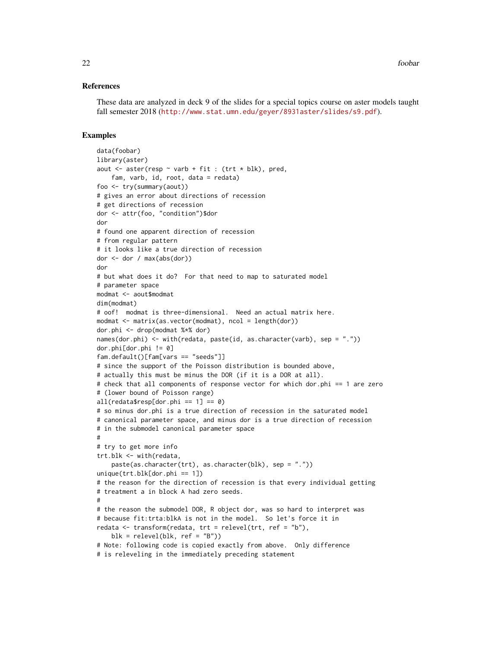#### References

These data are analyzed in deck 9 of the slides for a special topics course on aster models taught fall semester 2018 (<http://www.stat.umn.edu/geyer/8931aster/slides/s9.pdf>).

#### Examples

```
data(foobar)
library(aster)
aout \leq aster(resp \sim varb + fit : (trt * blk), pred,
    fam, varb, id, root, data = redata)
foo <- try(summary(aout))
# gives an error about directions of recession
# get directions of recession
dor <- attr(foo, "condition")$dor
dor
# found one apparent direction of recession
# from regular pattern
# it looks like a true direction of recession
dor < - dor / max(abs(dor))
dor
# but what does it do? For that need to map to saturated model
# parameter space
modmat <- aout$modmat
dim(modmat)
# oof! modmat is three-dimensional. Need an actual matrix here.
modmat \leq matrix(as.vector(modmat), ncol = length(dor))
dor.phi <- drop(modmat %*% dor)
names(dor.phi) \leq with(redata, paste(id, as.character(varb), sep = "."))
dor.phi[der.phi] = 0]
fam.default()[fam[vars == "seeds"]]
# since the support of the Poisson distribution is bounded above,
# actually this must be minus the DOR (if it is a DOR at all).
# check that all components of response vector for which dor.phi == 1 are zero
# (lower bound of Poisson range)
all(redata$resp[dor.phi == 1] == 0)# so minus dor.phi is a true direction of recession in the saturated model
# canonical parameter space, and minus dor is a true direction of recession
# in the submodel canonical parameter space
#
# try to get more info
trt.blk <- with(redata,
    paste(as.character(trt), as.character(blk), sep = "."))
unique(trt.blk[der.phi == 1])# the reason for the direction of recession is that every individual getting
# treatment a in block A had zero seeds.
#
# the reason the submodel DOR, R object dor, was so hard to interpret was
# because fit:trta:blkA is not in the model. So let's force it in
redata \leq transform(redata, trt = relevel(trt, ref = "b"),
    blk = relevel(blk, ref = "B"))
# Note: following code is copied exactly from above. Only difference
# is releveling in the immediately preceding statement
```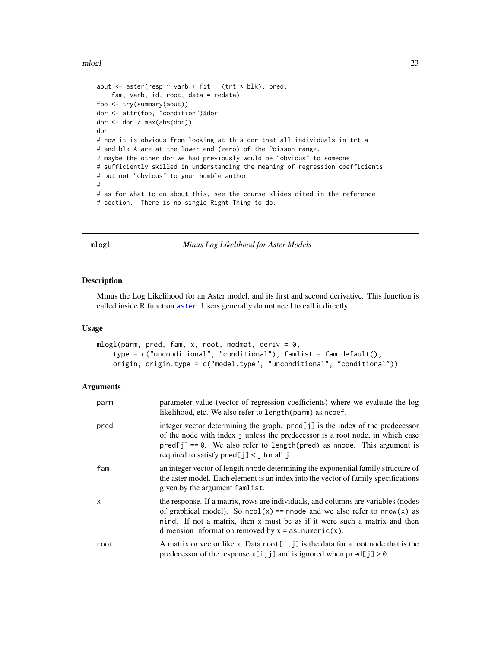#### <span id="page-22-0"></span>mlogl 23

```
aout \leq aster(resp \sim varb + fit : (trt \star blk), pred,
    fam, varb, id, root, data = redata)
foo <- try(summary(aout))
dor <- attr(foo, "condition")$dor
dor <- dor / max(abs(dor))
dor
# now it is obvious from looking at this dor that all individuals in trt a
# and blk A are at the lower end (zero) of the Poisson range.
# maybe the other dor we had previously would be "obvious" to someone
# sufficiently skilled in understanding the meaning of regression coefficients
# but not "obvious" to your humble author
#
# as for what to do about this, see the course slides cited in the reference
# section. There is no single Right Thing to do.
```
<span id="page-22-1"></span>mlogl *Minus Log Likelihood for Aster Models*

#### Description

Minus the Log Likelihood for an Aster model, and its first and second derivative. This function is called inside R function [aster](#page-4-1). Users generally do not need to call it directly.

#### Usage

```
mlogl(parm, pred, fam, x, root, modmat, deriv = 0,type = c("unconditional", "conditional"), famlist = fam.default(),
   origin, origin.type = c("model.type", "unconditional", "conditional"))
```
# Arguments

| parm | parameter value (vector of regression coefficients) where we evaluate the log<br>likelihood, etc. We also refer to length (parm) as ncoef.                                                                                                                                                                |
|------|-----------------------------------------------------------------------------------------------------------------------------------------------------------------------------------------------------------------------------------------------------------------------------------------------------------|
| pred | integer vector determining the graph. $pred[j]$ is the index of the predecessor<br>of the node with index j unless the predecessor is a root node, in which case<br>$pred[j] == 0$ . We also refer to length( $pred$ ) as nnode. This argument is<br>required to satisfy $pred[j] < j$ for all j.         |
| fam  | an integer vector of length nnode determining the exponential family structure of<br>the aster model. Each element is an index into the vector of family specifications<br>given by the argument famlist.                                                                                                 |
| x    | the response. If a matrix, rows are individuals, and columns are variables (nodes<br>of graphical model). So $ncol(x) ==$ nnode and we also refer to $nrow(x)$ as<br>nind. If not a matrix, then x must be as if it were such a matrix and then<br>dimension information removed by $x = as.$ numeric(x). |
| root | A matrix or vector like x. Data root $[i, j]$ is the data for a root node that is the<br>predecessor of the response $x[i, j]$ and is ignored when $pred[j] > 0$ .                                                                                                                                        |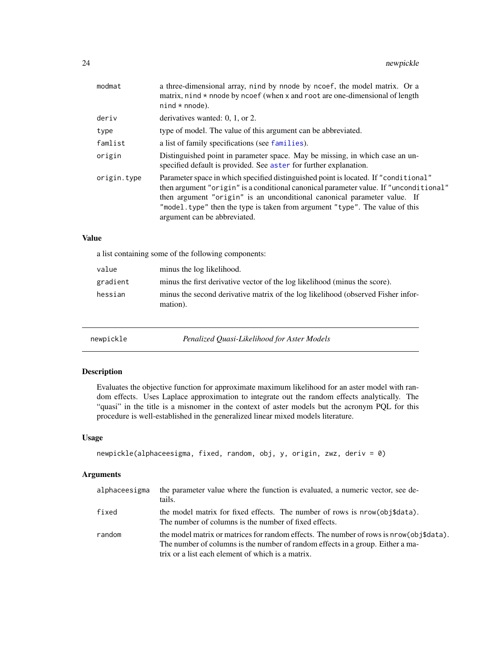<span id="page-23-0"></span>

| modmat      | a three-dimensional array, nind by nnode by ncoef, the model matrix. Or a<br>matrix, nind $*$ nnode by ncoef (when x and root are one-dimensional of length<br>$nind * mode$ ).                                                                                                                                                                                         |
|-------------|-------------------------------------------------------------------------------------------------------------------------------------------------------------------------------------------------------------------------------------------------------------------------------------------------------------------------------------------------------------------------|
| deriv       | derivatives wanted: $0, 1$ , or $2$ .                                                                                                                                                                                                                                                                                                                                   |
| type        | type of model. The value of this argument can be abbreviated.                                                                                                                                                                                                                                                                                                           |
| famlist     | a list of family specifications (see families).                                                                                                                                                                                                                                                                                                                         |
| origin      | Distinguished point in parameter space. May be missing, in which case an un-<br>specified default is provided. See aster for further explanation.                                                                                                                                                                                                                       |
| origin.type | Parameter space in which specified distinguished point is located. If "conditional"<br>then argument "origin" is a conditional canonical parameter value. If "unconditional"<br>then argument "origin" is an unconditional canonical parameter value. If<br>"model.type" then the type is taken from argument "type". The value of this<br>argument can be abbreviated. |

# Value

a list containing some of the following components:

| value    | minus the log likelihood.                                                                    |
|----------|----------------------------------------------------------------------------------------------|
| gradient | minus the first derivative vector of the log likelihood (minus the score).                   |
| hessian  | minus the second derivative matrix of the log likelihood (observed Fisher infor-<br>mation). |

newpickle *Penalized Quasi-Likelihood for Aster Models*

# Description

Evaluates the objective function for approximate maximum likelihood for an aster model with random effects. Uses Laplace approximation to integrate out the random effects analytically. The "quasi" in the title is a misnomer in the context of aster models but the acronym PQL for this procedure is well-established in the generalized linear mixed models literature.

# Usage

```
newpickle(alphaceesigma, fixed, random, obj, y, origin, zwz, deriv = 0)
```
# Arguments

| alphaceesigma | the parameter value where the function is evaluated, a numeric vector, see de-<br>tails.                                                                                                                                       |
|---------------|--------------------------------------------------------------------------------------------------------------------------------------------------------------------------------------------------------------------------------|
| fixed         | the model matrix for fixed effects. The number of rows is nrow(obj\$data).<br>The number of columns is the number of fixed effects.                                                                                            |
| random        | the model matrix or matrices for random effects. The number of rows is nrow(obj\$data).<br>The number of columns is the number of random effects in a group. Either a ma-<br>trix or a list each element of which is a matrix. |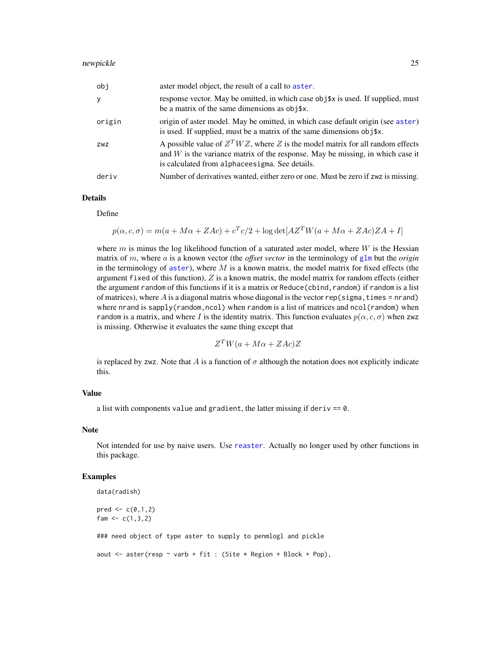<span id="page-24-0"></span>

| obj    | aster model object, the result of a call to aster.                                                                                                                                                                      |
|--------|-------------------------------------------------------------------------------------------------------------------------------------------------------------------------------------------------------------------------|
| y      | response vector. May be omitted, in which case obj\$x is used. If supplied, must<br>be a matrix of the same dimensions as obj\$x.                                                                                       |
| origin | origin of aster model. May be omitted, in which case default origin (see aster)<br>is used. If supplied, must be a matrix of the same dimensions obj\$x.                                                                |
| ZWZ    | A possible value of $ZT WZ$ , where Z is the model matrix for all random effects<br>and $W$ is the variance matrix of the response. May be missing, in which case it<br>is calculated from alphace esigma. See details. |
| deriv  | Number of derivatives wanted, either zero or one. Must be zero if zwz is missing.                                                                                                                                       |

# Details

Define

$$
p(\alpha, c, \sigma) = m(a + M\alpha + ZAc) + c^T c/2 + \log \det[AZ^T W(a + M\alpha + ZAc)ZA + I]
$$

where m is minus the log likelihood function of a saturated aster model, where  $W$  is the Hessian matrix of m, where a is a known vector (the *offset vector* in the terminology of  $g1m$  but the *origin* in the terminology of [aster](#page-4-1)), where  $M$  is a known matrix, the model matrix for fixed effects (the argument fixed of this function),  $Z$  is a known matrix, the model matrix for random effects (either the argument random of this functions if it is a matrix or Reduce (cbind, random) if random is a list of matrices), where  $A$  is a diagonal matrix whose diagonal is the vector rep(sigma, times = nrand) where nrand is sapply(random, ncol) when random is a list of matrices and  $ncol(random)$  when random is a matrix, and where I is the identity matrix. This function evaluates  $p(\alpha, c, \sigma)$  when zwz is missing. Otherwise it evaluates the same thing except that

$$
Z^T W (a + M\alpha + ZAc) Z
$$

is replaced by zwz. Note that A is a function of  $\sigma$  although the notation does not explicitly indicate this.

# Value

a list with components value and gradient, the latter missing if deriv == 0.

#### Note

Not intended for use by naive users. Use [reaster](#page-43-1). Actually no longer used by other functions in this package.

#### Examples

```
data(radish)
pred < -c(0,1,2)fam <-c(1,3,2)### need object of type aster to supply to penmlogl and pickle
aout \leq aster(resp \sim varb + fit : (Site * Region + Block + Pop),
```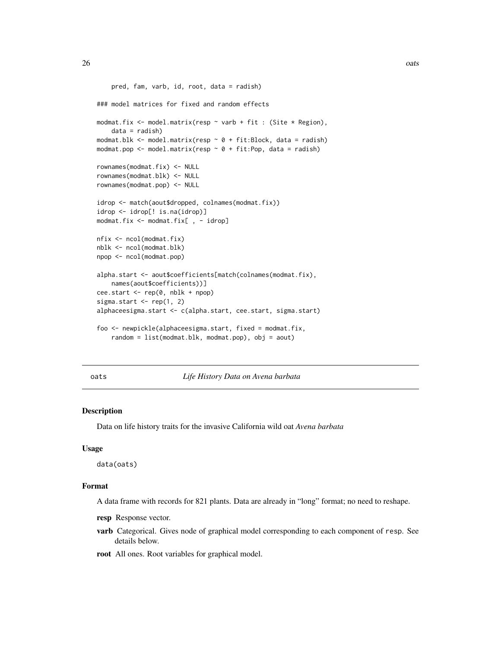```
pred, fam, varb, id, root, data = radish)
### model matrices for fixed and random effects
modmat.fix <- model.matrix(resp ~ varb + fit : (Site * Region),
    data = radish)modmat.blk <- model.matrix(resp \sim 0 + fit:Block, data = radish)
modmat.pop <- model.matrix(resp \sim 0 + fit:Pop, data = radish)
rownames(modmat.fix) <- NULL
rownames(modmat.blk) <- NULL
rownames(modmat.pop) <- NULL
idrop <- match(aout$dropped, colnames(modmat.fix))
idrop <- idrop[! is.na(idrop)]
modmat.fix <- modmat.fix[ , - idrop]
nfix <- ncol(modmat.fix)
nblk <- ncol(modmat.blk)
npop <- ncol(modmat.pop)
alpha.start <- aout$coefficients[match(colnames(modmat.fix),
    names(aout$coefficients))]
cee.start <- rep(0, nblk + npop)
sigma.start \leq rep(1, 2)
alphaceesigma.start <- c(alpha.start, cee.start, sigma.start)
foo <- newpickle(alphaceesigma.start, fixed = modmat.fix,
    random = list(modmat.blk, modmat.pop), obj = aout)
```
oats *Life History Data on Avena barbata*

#### **Description**

Data on life history traits for the invasive California wild oat *Avena barbata*

#### Usage

data(oats)

#### Format

A data frame with records for 821 plants. Data are already in "long" format; no need to reshape.

- resp Response vector.
- varb Categorical. Gives node of graphical model corresponding to each component of resp. See details below.
- root All ones. Root variables for graphical model.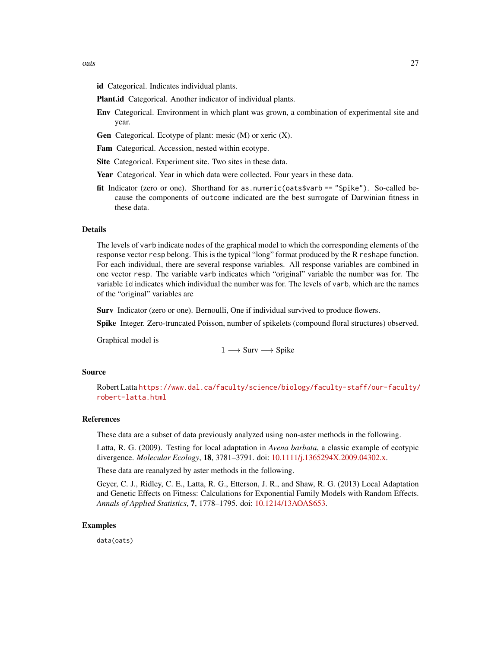- id Categorical. Indicates individual plants.
- Plant.id Categorical. Another indicator of individual plants.
- Env Categorical. Environment in which plant was grown, a combination of experimental site and year.
- Gen Categorical. Ecotype of plant: mesic (M) or xeric (X).
- Fam Categorical. Accession, nested within ecotype.
- Site Categorical. Experiment site. Two sites in these data.
- Year Categorical. Year in which data were collected. Four years in these data.
- fit Indicator (zero or one). Shorthand for as.numeric(oats\$varb == "Spike"). So-called because the components of outcome indicated are the best surrogate of Darwinian fitness in these data.

# Details

The levels of varb indicate nodes of the graphical model to which the corresponding elements of the response vector resp belong. This is the typical "long" format produced by the R reshape function. For each individual, there are several response variables. All response variables are combined in one vector resp. The variable varb indicates which "original" variable the number was for. The variable id indicates which individual the number was for. The levels of varb, which are the names of the "original" variables are

Surv Indicator (zero or one). Bernoulli, One if individual survived to produce flowers.

Spike Integer. Zero-truncated Poisson, number of spikelets (compound floral structures) observed.

Graphical model is

 $1 \longrightarrow$  Surv  $\longrightarrow$  Spike

#### Source

Robert Latta [https://www.dal.ca/faculty/science/biology/faculty-staff/our-faculty/](https://www.dal.ca/faculty/science/biology/faculty-staff/our-faculty/robert-latta.html) [robert-latta.html](https://www.dal.ca/faculty/science/biology/faculty-staff/our-faculty/robert-latta.html)

# References

These data are a subset of data previously analyzed using non-aster methods in the following.

Latta, R. G. (2009). Testing for local adaptation in *Avena barbata*, a classic example of ecotypic divergence. *Molecular Ecology*, 18, 3781–3791. doi: [10.1111/j.1365294X.2009.04302.x.](https://doi.org/10.1111/j.1365-294X.2009.04302.x)

These data are reanalyzed by aster methods in the following.

Geyer, C. J., Ridley, C. E., Latta, R. G., Etterson, J. R., and Shaw, R. G. (2013) Local Adaptation and Genetic Effects on Fitness: Calculations for Exponential Family Models with Random Effects. *Annals of Applied Statistics*, 7, 1778–1795. doi: [10.1214/13AOAS653.](https://doi.org/10.1214/13-AOAS653)

# Examples

data(oats)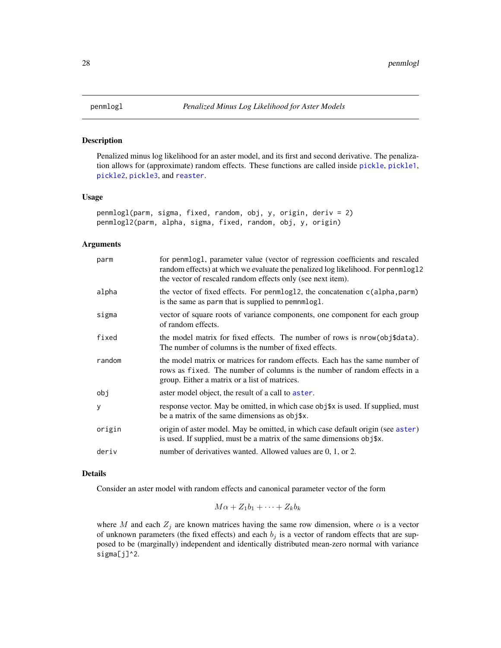<span id="page-27-1"></span><span id="page-27-0"></span>

#### Description

Penalized minus log likelihood for an aster model, and its first and second derivative. The penalization allows for (approximate) random effects. These functions are called inside [pickle](#page-28-1), [pickle1](#page-28-2), [pickle2](#page-28-2), [pickle3](#page-28-2), and [reaster](#page-43-1).

### Usage

```
penmlogl(parm, sigma, fixed, random, obj, y, origin, deriv = 2)
penmlogl2(parm, alpha, sigma, fixed, random, obj, y, origin)
```
#### Arguments

| parm   | for penmlogl, parameter value (vector of regression coefficients and rescaled<br>random effects) at which we evaluate the penalized log likelihood. For penmlog12<br>the vector of rescaled random effects only (see next item). |
|--------|----------------------------------------------------------------------------------------------------------------------------------------------------------------------------------------------------------------------------------|
| alpha  | the vector of fixed effects. For penmlog12, the concatenation c(alpha, parm)<br>is the same as parm that is supplied to pemnmlogl.                                                                                               |
| sigma  | vector of square roots of variance components, one component for each group<br>of random effects.                                                                                                                                |
| fixed  | the model matrix for fixed effects. The number of rows is nrow(obj\$data).<br>The number of columns is the number of fixed effects.                                                                                              |
| random | the model matrix or matrices for random effects. Each has the same number of<br>rows as fixed. The number of columns is the number of random effects in a<br>group. Either a matrix or a list of matrices.                       |
| obj    | aster model object, the result of a call to aster.                                                                                                                                                                               |
| y      | response vector. May be omitted, in which case obj\$x is used. If supplied, must<br>be a matrix of the same dimensions as obj\$x.                                                                                                |
| origin | origin of aster model. May be omitted, in which case default origin (see aster)<br>is used. If supplied, must be a matrix of the same dimensions obj\$x.                                                                         |
| deriv  | number of derivatives wanted. Allowed values are 0, 1, or 2.                                                                                                                                                                     |
|        |                                                                                                                                                                                                                                  |

# Details

Consider an aster model with random effects and canonical parameter vector of the form

$$
M\alpha + Z_1b_1 + \cdots + Z_kb_k
$$

where M and each  $Z_j$  are known matrices having the same row dimension, where  $\alpha$  is a vector of unknown parameters (the fixed effects) and each  $b_j$  is a vector of random effects that are supposed to be (marginally) independent and identically distributed mean-zero normal with variance sigma[j]^2.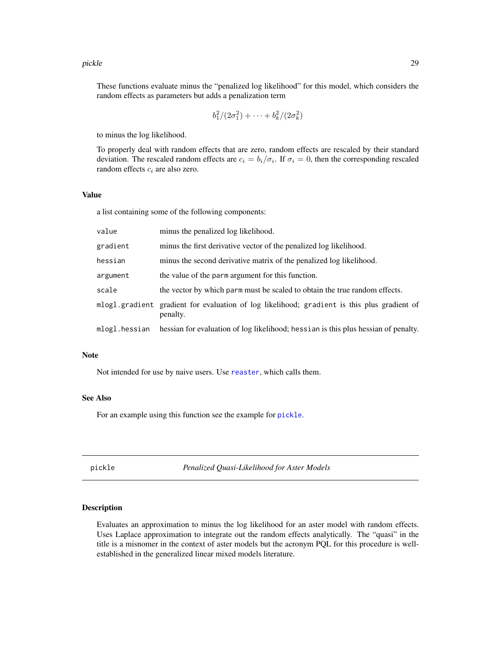#### <span id="page-28-0"></span>pickle **29**

These functions evaluate minus the "penalized log likelihood" for this model, which considers the random effects as parameters but adds a penalization term

$$
b_1^2/(2\sigma_1^2) + \cdots + b_k^2/(2\sigma_k^2)
$$

to minus the log likelihood.

To properly deal with random effects that are zero, random effects are rescaled by their standard deviation. The rescaled random effects are  $c_i = b_i/\sigma_i$ . If  $\sigma_i = 0$ , then the corresponding rescaled random effects  $c_i$  are also zero.

# Value

a list containing some of the following components:

| value         | minus the penalized log likelihood.                                                                     |
|---------------|---------------------------------------------------------------------------------------------------------|
| gradient      | minus the first derivative vector of the penalized log likelihood.                                      |
| hessian       | minus the second derivative matrix of the penalized log likelihood.                                     |
| argument      | the value of the parm argument for this function.                                                       |
| scale         | the vector by which parm must be scaled to obtain the true random effects.                              |
|               | mlogl.gradient gradient for evaluation of log likelihood; gradient is this plus gradient of<br>penalty. |
| mlogl.hessian | hessian for evaluation of log likelihood; hessian is this plus hessian of penalty.                      |

# Note

Not intended for use by naive users. Use [reaster](#page-43-1), which calls them.

# See Also

For an example using this function see the example for [pickle](#page-28-1).

<span id="page-28-1"></span>pickle *Penalized Quasi-Likelihood for Aster Models*

# <span id="page-28-2"></span>Description

Evaluates an approximation to minus the log likelihood for an aster model with random effects. Uses Laplace approximation to integrate out the random effects analytically. The "quasi" in the title is a misnomer in the context of aster models but the acronym PQL for this procedure is wellestablished in the generalized linear mixed models literature.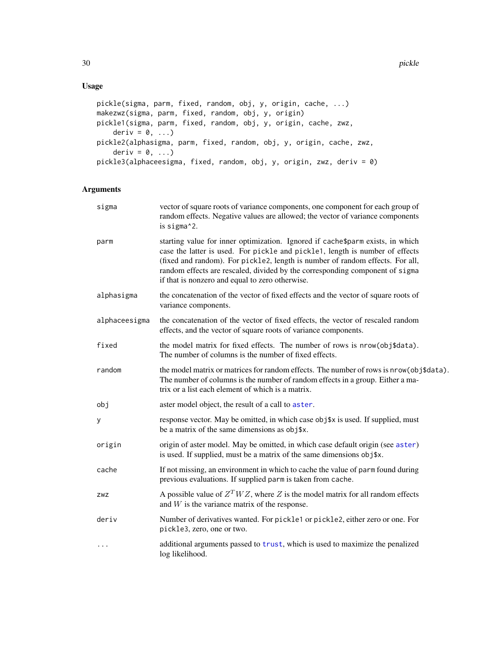# <span id="page-29-0"></span>Usage

```
pickle(sigma, parm, fixed, random, obj, y, origin, cache, ...)
makezwz(sigma, parm, fixed, random, obj, y, origin)
pickle1(sigma, parm, fixed, random, obj, y, origin, cache, zwz,
    deriv = 0, \ldots)
pickle2(alphasigma, parm, fixed, random, obj, y, origin, cache, zwz,
    deriv = 0, ...)
pickle3(alphaceesigma, fixed, random, obj, y, origin, zwz, deriv = 0)
```
# Arguments

| sigma         | vector of square roots of variance components, one component for each group of<br>random effects. Negative values are allowed; the vector of variance components<br>is sigma^2.                                                                                                                                                                                                    |
|---------------|------------------------------------------------------------------------------------------------------------------------------------------------------------------------------------------------------------------------------------------------------------------------------------------------------------------------------------------------------------------------------------|
| parm          | starting value for inner optimization. Ignored if cache\$parm exists, in which<br>case the latter is used. For pickle and pickle1, length is number of effects<br>(fixed and random). For pickle2, length is number of random effects. For all,<br>random effects are rescaled, divided by the corresponding component of sigma<br>if that is nonzero and equal to zero otherwise. |
| alphasigma    | the concatenation of the vector of fixed effects and the vector of square roots of<br>variance components.                                                                                                                                                                                                                                                                         |
| alphaceesigma | the concatenation of the vector of fixed effects, the vector of rescaled random<br>effects, and the vector of square roots of variance components.                                                                                                                                                                                                                                 |
| fixed         | the model matrix for fixed effects. The number of rows is nrow(obj\$data).<br>The number of columns is the number of fixed effects.                                                                                                                                                                                                                                                |
| random        | the model matrix or matrices for random effects. The number of rows is nrow(obj\$data).<br>The number of columns is the number of random effects in a group. Either a ma-<br>trix or a list each element of which is a matrix.                                                                                                                                                     |
| obj           | aster model object, the result of a call to aster.                                                                                                                                                                                                                                                                                                                                 |
| у             | response vector. May be omitted, in which case obj\$x is used. If supplied, must<br>be a matrix of the same dimensions as obj\$x.                                                                                                                                                                                                                                                  |
| origin        | origin of aster model. May be omitted, in which case default origin (see aster)<br>is used. If supplied, must be a matrix of the same dimensions obj\$x.                                                                                                                                                                                                                           |
| cache         | If not missing, an environment in which to cache the value of parm found during<br>previous evaluations. If supplied parm is taken from cache.                                                                                                                                                                                                                                     |
| ZWZ           | A possible value of $ZT W Z$ , where Z is the model matrix for all random effects<br>and $W$ is the variance matrix of the response.                                                                                                                                                                                                                                               |
| deriv         | Number of derivatives wanted. For pickle1 or pickle2, either zero or one. For<br>pickle3, zero, one or two.                                                                                                                                                                                                                                                                        |
| $\cdots$      | additional arguments passed to trust, which is used to maximize the penalized<br>log likelihood.                                                                                                                                                                                                                                                                                   |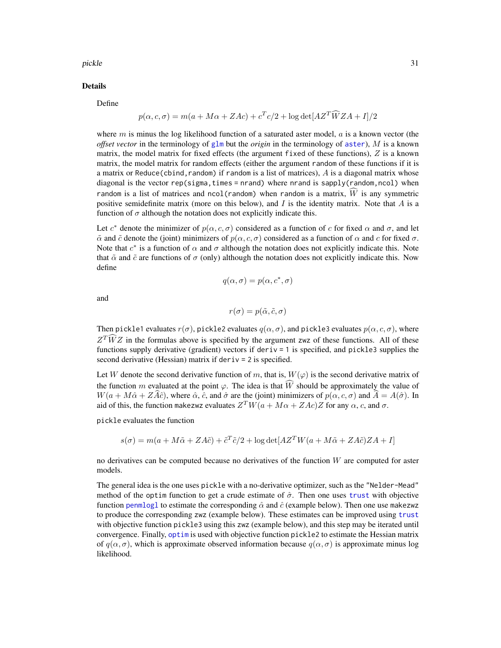<span id="page-30-0"></span>pickle 31

#### Details

Define

$$
p(\alpha, c, \sigma) = m(a + M\alpha + ZAc) + c^{T}c/2 + \log \det[AZ^{T}\widehat{W}ZA + I]/2
$$

where  $m$  is minus the log likelihood function of a saturated aster model,  $a$  is a known vector (the *offset vector* in the terminology of [glm](#page-0-0) but the *origin* in the terminology of [aster](#page-4-1)), M is a known matrix, the model matrix for fixed effects (the argument fixed of these functions),  $Z$  is a known matrix, the model matrix for random effects (either the argument random of these functions if it is a matrix or Reduce(cbind, random) if random is a list of matrices),  $\vec{A}$  is a diagonal matrix whose diagonal is the vector rep(sigma, times = nrand) where nrand is sapply(random,ncol) when random is a list of matrices and ncol(random) when random is a matrix,  $\widehat{W}$  is any symmetric positive semidefinite matrix (more on this below), and  $I$  is the identity matrix. Note that  $A$  is a function of  $\sigma$  although the notation does not explicitly indicate this.

Let  $c^*$  denote the minimizer of  $p(\alpha, c, \sigma)$  considered as a function of c for fixed  $\alpha$  and  $\sigma$ , and let  $\tilde{\alpha}$  and  $\tilde{c}$  denote the (joint) minimizers of  $p(\alpha, c, \sigma)$  considered as a function of  $\alpha$  and c for fixed  $\sigma$ . Note that  $c^*$  is a function of  $\alpha$  and  $\sigma$  although the notation does not explicitly indicate this. Note that  $\tilde{\alpha}$  and  $\tilde{c}$  are functions of  $\sigma$  (only) although the notation does not explicitly indicate this. Now define

$$
q(\alpha, \sigma) = p(\alpha, c^*, \sigma)
$$

and

 $r(\sigma) = p(\tilde{\alpha}, \tilde{c}, \sigma)$ 

Then pickle1 evaluates  $r(\sigma)$ , pickle2 evaluates  $q(\alpha, \sigma)$ , and pickle3 evaluates  $p(\alpha, c, \sigma)$ , where  $Z^T \hat{W} Z$  in the formulas above is specified by the argument zwz of these functions. All of these functions supply derivative (gradient) vectors if deriv = 1 is specified, and pickle3 supplies the second derivative (Hessian) matrix if deriv = 2 is specified.

Let W denote the second derivative function of m, that is,  $W(\varphi)$  is the second derivative matrix of the function m evaluated at the point  $\varphi$ . The idea is that  $\widehat{W}$  should be approximately the value of  $W(a + M\hat{\alpha} + Z\hat{A}\hat{c})$ , where  $\hat{\alpha}$ ,  $\hat{c}$ , and  $\hat{\sigma}$  are the (joint) minimizers of  $p(\alpha, c, \sigma)$  and  $\hat{A} = A(\hat{\sigma})$ . In aid of this, the function makezwz evaluates  $Z^T W (a + M \alpha + ZAc) Z$  for any  $\alpha$ , c, and  $\sigma$ .

pickle evaluates the function

 $s(\sigma) = m(a + M\tilde{\alpha} + ZA\tilde{c}) + \tilde{c}^T\tilde{c}/2 + \log \det[AZ^T W(a + M\tilde{\alpha} + ZA\tilde{c})ZA + I]$ 

no derivatives can be computed because no derivatives of the function  $W$  are computed for aster models.

The general idea is the one uses pickle with a no-derivative optimizer, such as the "Nelder-Mead" method of the optim function to get a crude estimate of  $\hat{\sigma}$ . Then one uses [trust](#page-0-0) with objective function [penmlogl](#page-27-1) to estimate the corresponding  $\hat{\alpha}$  and  $\hat{c}$  (example below). Then one use makezwz to produce the corresponding zwz (example below). These estimates can be improved using [trust](#page-0-0) with objective function pickle3 using this zwz (example below), and this step may be iterated until convergence. Finally, [optim](#page-0-0) is used with objective function pickle2 to estimate the Hessian matrix of  $q(\alpha, \sigma)$ , which is approximate observed information because  $q(\alpha, \sigma)$  is approximate minus log likelihood.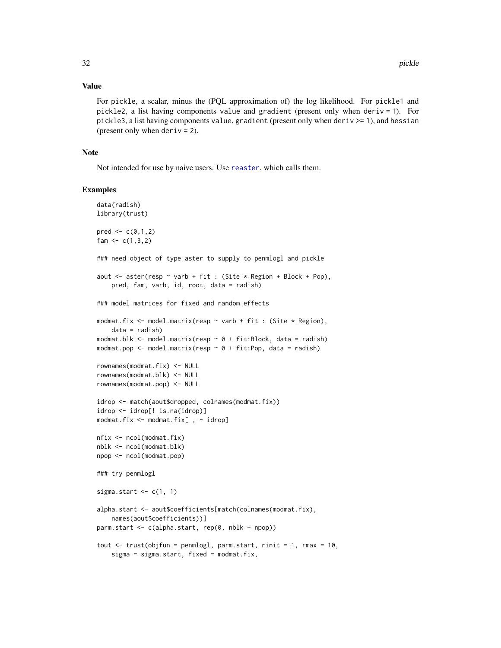#### <span id="page-31-0"></span>Value

For pickle, a scalar, minus the (PQL approximation of) the log likelihood. For pickle1 and pickle2, a list having components value and gradient (present only when deriv = 1). For pickle3, a list having components value, gradient (present only when deriv  $>= 1$ ), and hessian (present only when  $deriv = 2$ ).

# Note

Not intended for use by naive users. Use [reaster](#page-43-1), which calls them.

#### Examples

```
data(radish)
library(trust)
pred < -c(0,1,2)fam <-c(1,3,2)### need object of type aster to supply to penmlogl and pickle
aout \leq aster(resp \sim varb + fit : (Site * Region + Block + Pop),
   pred, fam, varb, id, root, data = radish)
### model matrices for fixed and random effects
modmat.fix <- model.matrix(resp ~ varb + fit : (Site * Region),
   data = radish)
modmat.blk \leq model.matrix(resp \sim 0 + fit:Block, data = radish)
modmat.pop \leq model.matrix(resp \sim 0 + fit:Pop, data = radish)
rownames(modmat.fix) <- NULL
rownames(modmat.blk) <- NULL
rownames(modmat.pop) <- NULL
idrop <- match(aout$dropped, colnames(modmat.fix))
idrop <- idrop[! is.na(idrop)]
modmat.fix <- modmat.fix[ , - idrop]
nfix <- ncol(modmat.fix)
nblk <- ncol(modmat.blk)
npop <- ncol(modmat.pop)
### try penmlogl
sigma.start \leq c(1, 1)alpha.start <- aout$coefficients[match(colnames(modmat.fix),
   names(aout$coefficients))]
parm.start <- c(alpha.start, rep(0, nblk + npop))
tout \le trust(objfun = penmlogl, parm.start, rinit = 1, rmax = 10,
   sigma = sigma.start, fixed = modmat.fix,
```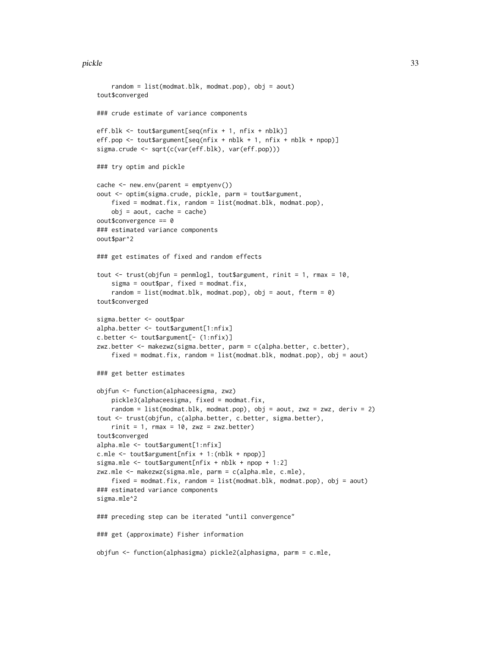#### pickle 33

```
random = list(modmat.blk, modmat.pop), obj = aout)
tout$converged
### crude estimate of variance components
eff.blk <- tout$argument[seq(nfix + 1, nfix + nblk)]
eff.pop <- tout$argument[seq(nfix + nblk + 1, nfix + nblk + npop)]
sigma.crude <- sqrt(c(var(eff.blk), var(eff.pop)))
### try optim and pickle
cache \leq new.env(parent = emptyenv())
oout <- optim(sigma.crude, pickle, parm = tout$argument,
    fixed = modmat.fix, random = list(modmat.blk, modmat.pop),
   obj = aout, cache = cache)oout$convergence == 0
### estimated variance components
oout$par^2
### get estimates of fixed and random effects
tout \le trust(objfun = penmlogl, tout$argument, rinit = 1, rmax = 10,
    sigma = 0out$par, fixed = modmat.fix,
    random = list(modmat.blk, modmat.pop), obj = aout, fterm = \emptyset)
tout$converged
sigma.better <- oout$par
alpha.better <- tout$argument[1:nfix]
c.better <- tout$argument[- (1:nfix)]
zwz.better <- makezwz(sigma.better, parm = c(alpha.better, c.better),
   fixed = modmat.fix, random = list(modmat.blk, modmat.pop), obj = aout)
### get better estimates
objfun <- function(alphaceesigma, zwz)
   pickle3(alphaceesigma, fixed = modmat.fix,
    random = list(modmat.blk, modmat.pop), obj = aout, zwz = zwz, deriv = 2)
tout <- trust(objfun, c(alpha.better, c.better, sigma.better),
    rinit = 1, rmax = 10, zwz = zwz.better)
tout$converged
alpha.mle <- tout$argument[1:nfix]
c.mle <- tout$argument[nfix + 1:(nblk + npop)]
sigma.mle <- tout$argument[nfix + nblk + npop + 1:2]
zwz.mle <- makezwz(sigma.mle, parm = c(alpha.mle, c.mle),
    fixed = modmat.fix, random = list(modmat.blk, modmat.pop), obj = aout)
### estimated variance components
sigma.mle^2
### preceding step can be iterated "until convergence"
### get (approximate) Fisher information
objfun <- function(alphasigma) pickle2(alphasigma, parm = c.mle,
```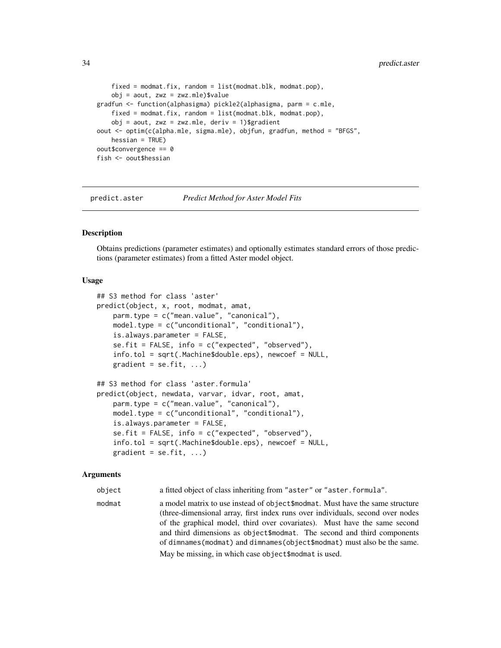```
fixed = modmat.fix, random = list(modmat.blk, modmat.pop),
    obj = aout, zwz = zwz.mle)$value
gradfun <- function(alphasigma) pickle2(alphasigma, parm = c.mle,
   fixed = modmat.fix, random = list(modmat.blk, modmat.pop),
    obj = aout, zwz = zwz.mle, deriv = 1)$gradient
oout <- optim(c(alpha.mle, sigma.mle), objfun, gradfun, method = "BFGS",
   hessian = TRUE)
oout$convergence == 0
fish <- oout$hessian
```
<span id="page-33-1"></span>predict.aster *Predict Method for Aster Model Fits*

#### **Description**

Obtains predictions (parameter estimates) and optionally estimates standard errors of those predictions (parameter estimates) from a fitted Aster model object.

#### Usage

```
## S3 method for class 'aster'
predict(object, x, root, modmat, amat,
    parm.type = c("mean.value", "canonical"),
   model.type = c("unconditional", "conditional"),
    is.always.parameter = FALSE,
    se.fit = FALSE, info = c("expected", "observed"),info.tol = sqrt(.Machine$double.eps), newcoef = NULL,
   gradient = se.fit, ...)
## S3 method for class 'aster.formula'
predict(object, newdata, varvar, idvar, root, amat,
   parm.type = c("mean.value", "canonical"),
   model.type = c("unconditional", "conditional"),
    is.always.parameter = FALSE,
    se.fit = FALSE, info = c("expected", "observed"),
    info.tol = sqrt(.Machine$double.eps), newcoef = NULL,
   gradient = se.fit, ...)
```
#### Arguments

object a fitted object of class inheriting from "aster" or "aster.formula".

modmat a model matrix to use instead of object\$modmat. Must have the same structure (three-dimensional array, first index runs over individuals, second over nodes of the graphical model, third over covariates). Must have the same second and third dimensions as object\$modmat. The second and third components of dimnames(modmat) and dimnames(object\$modmat) must also be the same. May be missing, in which case object\$modmat is used.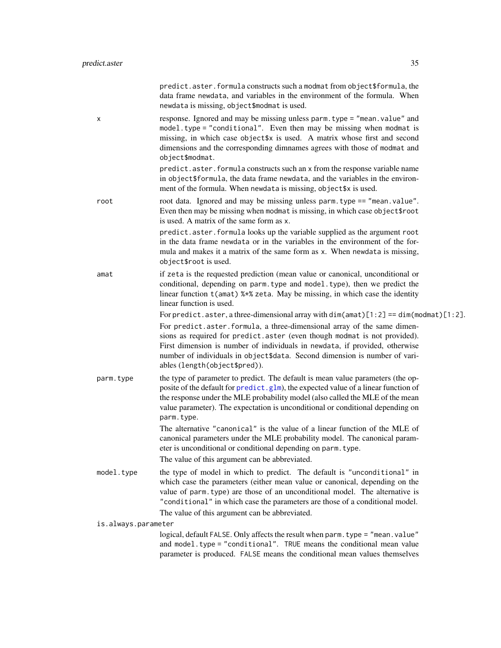<span id="page-34-0"></span>

|                     | predict.aster.formula constructs such a modmat from object\$formula, the<br>data frame newdata, and variables in the environment of the formula. When<br>newdata is missing, object\$modmat is used.                                                                                                                                                                                                                                            |
|---------------------|-------------------------------------------------------------------------------------------------------------------------------------------------------------------------------------------------------------------------------------------------------------------------------------------------------------------------------------------------------------------------------------------------------------------------------------------------|
| x                   | response. Ignored and may be missing unless parm. type = "mean. value" and<br>model.type = "conditional". Even then may be missing when modmat is<br>missing, in which case object\$x is used. A matrix whose first and second<br>dimensions and the corresponding dimnames agrees with those of modmat and<br>object\$modmat.                                                                                                                  |
|                     | predict.aster.formula constructs such an x from the response variable name<br>in object\$formula, the data frame newdata, and the variables in the environ-<br>ment of the formula. When newdata is missing, object\$x is used.                                                                                                                                                                                                                 |
| root                | root data. Ignored and may be missing unless parm. type == "mean. value".<br>Even then may be missing when modmat is missing, in which case object\$root<br>is used. A matrix of the same form as x.                                                                                                                                                                                                                                            |
|                     | predict.aster.formula looks up the variable supplied as the argument root<br>in the data frame newdata or in the variables in the environment of the for-<br>mula and makes it a matrix of the same form as x. When newdata is missing,<br>object\$root is used.                                                                                                                                                                                |
| amat                | if zeta is the requested prediction (mean value or canonical, unconditional or<br>conditional, depending on parm. type and model. type), then we predict the<br>linear function t (amat) %*% zeta. May be missing, in which case the identity<br>linear function is used.                                                                                                                                                                       |
|                     | For predict. aster, a three-dimensional array with $dim(amat)[1:2] == dim(modmat)[1:2]$ .<br>For predict.aster.formula, a three-dimensional array of the same dimen-<br>sions as required for predict.aster (even though modmat is not provided).<br>First dimension is number of individuals in newdata, if provided, otherwise<br>number of individuals in object\$data. Second dimension is number of vari-<br>ables (length(object\$pred)). |
| parm.type           | the type of parameter to predict. The default is mean value parameters (the op-<br>posite of the default for predict.glm), the expected value of a linear function of<br>the response under the MLE probability model (also called the MLE of the mean<br>value parameter). The expectation is unconditional or conditional depending on<br>parm.type.                                                                                          |
|                     | The alternative "canonical" is the value of a linear function of the MLE of<br>canonical parameters under the MLE probability model. The canonical param-<br>eter is unconditional or conditional depending on parm. type.<br>The value of this argument can be abbreviated.                                                                                                                                                                    |
| model.type          | the type of model in which to predict. The default is "unconditional" in<br>which case the parameters (either mean value or canonical, depending on the<br>value of parm. type) are those of an unconditional model. The alternative is<br>"conditional" in which case the parameters are those of a conditional model.                                                                                                                         |
|                     | The value of this argument can be abbreviated.                                                                                                                                                                                                                                                                                                                                                                                                  |
| is.always.parameter | logical, default FALSE. Only affects the result when parm. type = "mean. value"                                                                                                                                                                                                                                                                                                                                                                 |
|                     | and model.type = "conditional". TRUE means the conditional mean value<br>parameter is produced. FALSE means the conditional mean values themselves                                                                                                                                                                                                                                                                                              |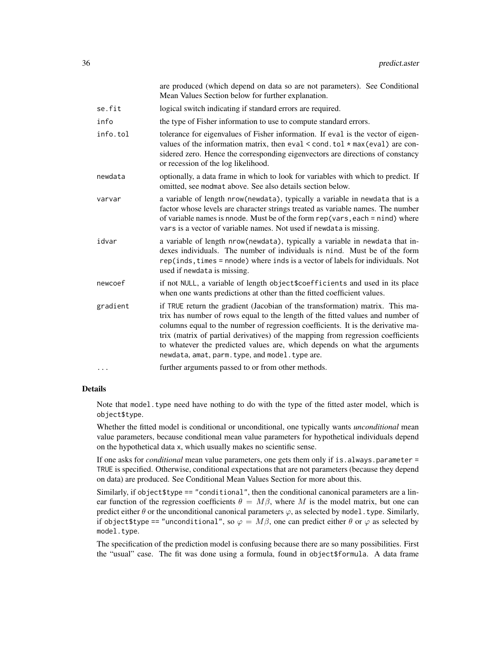|          | are produced (which depend on data so are not parameters). See Conditional<br>Mean Values Section below for further explanation.                                                                                                                                                                                                                                                                                                                                      |
|----------|-----------------------------------------------------------------------------------------------------------------------------------------------------------------------------------------------------------------------------------------------------------------------------------------------------------------------------------------------------------------------------------------------------------------------------------------------------------------------|
| se.fit   | logical switch indicating if standard errors are required.                                                                                                                                                                                                                                                                                                                                                                                                            |
| info     | the type of Fisher information to use to compute standard errors.                                                                                                                                                                                                                                                                                                                                                                                                     |
| info.tol | tolerance for eigenvalues of Fisher information. If eval is the vector of eigen-<br>values of the information matrix, then eval $\le$ cond. tol $\ast$ max (eval) are con-<br>sidered zero. Hence the corresponding eigenvectors are directions of constancy<br>or recession of the log likelihood.                                                                                                                                                                   |
| newdata  | optionally, a data frame in which to look for variables with which to predict. If<br>omitted, see modmat above. See also details section below.                                                                                                                                                                                                                                                                                                                       |
| varvar   | a variable of length nrow(newdata), typically a variable in newdata that is a<br>factor whose levels are character strings treated as variable names. The number<br>of variable names is nnode. Must be of the form rep (vars, each = nind) where<br>vars is a vector of variable names. Not used if newdata is missing.                                                                                                                                              |
| idvar    | a variable of length nrow(newdata), typically a variable in newdata that in-<br>dexes individuals. The number of individuals is nind. Must be of the form<br>$rep(inds, times = mode)$ where inds is a vector of labels for individuals. Not<br>used if newdata is missing.                                                                                                                                                                                           |
| newcoef  | if not NULL, a variable of length object\$coefficients and used in its place<br>when one wants predictions at other than the fitted coefficient values.                                                                                                                                                                                                                                                                                                               |
| gradient | if TRUE return the gradient (Jacobian of the transformation) matrix. This ma-<br>trix has number of rows equal to the length of the fitted values and number of<br>columns equal to the number of regression coefficients. It is the derivative ma-<br>trix (matrix of partial derivatives) of the mapping from regression coefficients<br>to whatever the predicted values are, which depends on what the arguments<br>newdata, amat, parm.type, and model.type are. |
| .        | further arguments passed to or from other methods.                                                                                                                                                                                                                                                                                                                                                                                                                    |

# Details

Note that model.type need have nothing to do with the type of the fitted aster model, which is object\$type.

Whether the fitted model is conditional or unconditional, one typically wants *unconditional* mean value parameters, because conditional mean value parameters for hypothetical individuals depend on the hypothetical data x, which usually makes no scientific sense.

If one asks for *conditional* mean value parameters, one gets them only if is.always.parameter = TRUE is specified. Otherwise, conditional expectations that are not parameters (because they depend on data) are produced. See Conditional Mean Values Section for more about this.

Similarly, if object  $$type == "conditional",$  then the conditional canonical parameters are a linear function of the regression coefficients  $\theta = M\beta$ , where M is the model matrix, but one can predict either  $\theta$  or the unconditional canonical parameters  $\varphi$ , as selected by model.type. Similarly, if object \$type == "unconditional", so  $\varphi = M\beta$ , one can predict either  $\theta$  or  $\varphi$  as selected by model.type.

The specification of the prediction model is confusing because there are so many possibilities. First the "usual" case. The fit was done using a formula, found in object\$formula. A data frame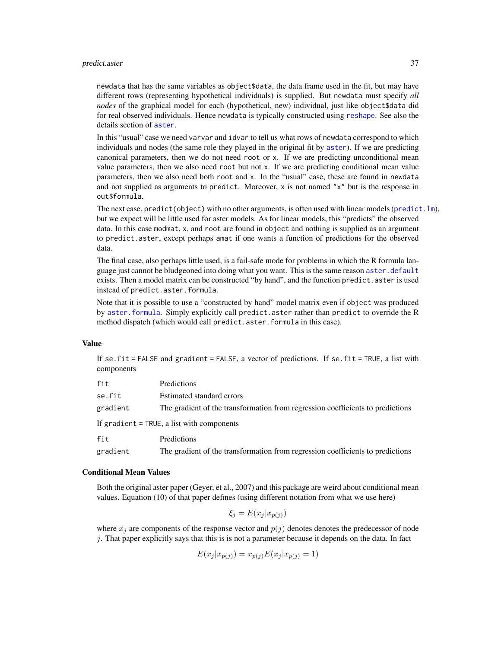#### <span id="page-36-0"></span>predict.aster 37

newdata that has the same variables as object\$data, the data frame used in the fit, but may have different rows (representing hypothetical individuals) is supplied. But newdata must specify *all nodes* of the graphical model for each (hypothetical, new) individual, just like object\$data did for real observed individuals. Hence newdata is typically constructed using [reshape](#page-0-0). See also the details section of [aster](#page-4-1).

In this "usual" case we need varvar and idvar to tell us what rows of newdata correspond to which individuals and nodes (the same role they played in the original fit by [aster](#page-4-1)). If we are predicting canonical parameters, then we do not need root or x. If we are predicting unconditional mean value parameters, then we also need root but not x. If we are predicting conditional mean value parameters, then we also need both root and x. In the "usual" case, these are found in newdata and not supplied as arguments to predict. Moreover, x is not named "x" but is the response in out\$formula.

The next case, predict (object) with no other arguments, is often used with linear models (predict.  $lm$ ), but we expect will be little used for aster models. As for linear models, this "predicts" the observed data. In this case modmat, x, and root are found in object and nothing is supplied as an argument to predict.aster, except perhaps amat if one wants a function of predictions for the observed data.

The final case, also perhaps little used, is a fail-safe mode for problems in which the R formula language just cannot be bludgeoned into doing what you want. This is the same reason [aster.default](#page-4-2) exists. Then a model matrix can be constructed "by hand", and the function predict.aster is used instead of predict.aster.formula.

Note that it is possible to use a "constructed by hand" model matrix even if object was produced by [aster.formula](#page-4-2). Simply explicitly call predict.aster rather than predict to override the R method dispatch (which would call predict.aster.formula in this case).

#### Value

If se.fit = FALSE and gradient = FALSE, a vector of predictions. If se.fit = TRUE, a list with components

| fit      | Predictions                                                                    |
|----------|--------------------------------------------------------------------------------|
| se.fit   | Estimated standard errors                                                      |
| gradient | The gradient of the transformation from regression coefficients to predictions |
|          | If gradient = TRUE, a list with components                                     |
| fit      | Predictions                                                                    |

gradient The gradient of the transformation from regression coefficients to predictions

#### Conditional Mean Values

Both the original aster paper (Geyer, et al., 2007) and this package are weird about conditional mean values. Equation (10) of that paper defines (using different notation from what we use here)

$$
\xi_j = E(x_j | x_{p(j)})
$$

where  $x_i$  are components of the response vector and  $p(j)$  denotes denotes the predecessor of node j. That paper explicitly says that this is is not a parameter because it depends on the data. In fact

$$
E(x_j | x_{p(j)}) = x_{p(j)} E(x_j | x_{p(j)} = 1)
$$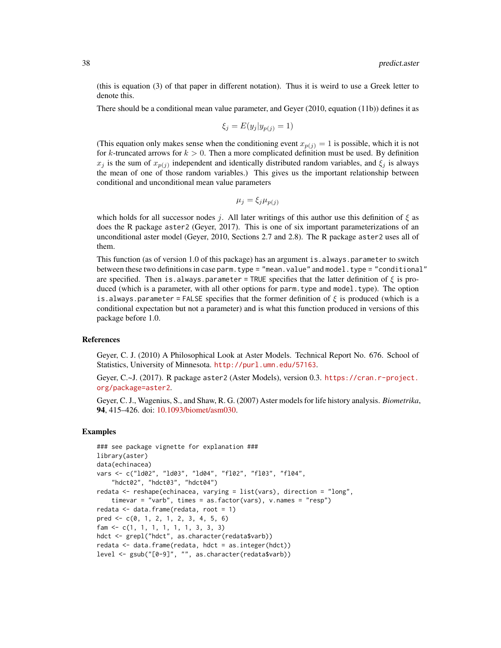(this is equation (3) of that paper in different notation). Thus it is weird to use a Greek letter to denote this.

There should be a conditional mean value parameter, and Geyer (2010, equation (11b)) defines it as

$$
\xi_j = E(y_j | y_{p(j)} = 1)
$$

(This equation only makes sense when the conditioning event  $x_{p(j)} = 1$  is possible, which it is not for k-truncated arrows for  $k > 0$ . Then a more complicated definition must be used. By definition  $x_j$  is the sum of  $x_{p(j)}$  independent and identically distributed random variables, and  $\xi_j$  is always the mean of one of those random variables.) This gives us the important relationship between conditional and unconditional mean value parameters

$$
\mu_j = \xi_j \mu_{p(j)}
$$

which holds for all successor nodes j. All later writings of this author use this definition of  $\xi$  as does the R package aster2 (Geyer, 2017). This is one of six important parameterizations of an unconditional aster model (Geyer, 2010, Sections 2.7 and 2.8). The R package aster2 uses all of them.

This function (as of version 1.0 of this package) has an argument is. always.parameter to switch between these two definitions in case parm. type = "mean.value" and model. type = "conditional" are specified. Then is.always.parameter = TRUE specifies that the latter definition of  $\xi$  is produced (which is a parameter, with all other options for parm.type and model.type). The option is.always.parameter = FALSE specifies that the former definition of  $\xi$  is produced (which is a conditional expectation but not a parameter) and is what this function produced in versions of this package before 1.0.

### References

Geyer, C. J. (2010) A Philosophical Look at Aster Models. Technical Report No. 676. School of Statistics, University of Minnesota. <http://purl.umn.edu/57163>.

Geyer, C.~J. (2017). R package aster2 (Aster Models), version 0.3. [https://cran.r-project.](https://cran.r-project.org/package=aster2) [org/package=aster2](https://cran.r-project.org/package=aster2).

Geyer, C. J., Wagenius, S., and Shaw, R. G. (2007) Aster models for life history analysis. *Biometrika*, 94, 415–426. doi: [10.1093/biomet/asm030.](https://doi.org/10.1093/biomet/asm030)

## Examples

```
### see package vignette for explanation ###
library(aster)
data(echinacea)
vars <- c("ld02", "ld03", "ld04", "fl02", "fl03", "fl04",
    "hdct02", "hdct03", "hdct04")
redata <- reshape(echinacea, varying = list(vars), direction = "long",
    timevar = "varb", times = as.factor(vars), v.names = "resp")
redata <- data.frame(redata, root = 1)
pred <- c(0, 1, 2, 1, 2, 3, 4, 5, 6)
fam <- c(1, 1, 1, 1, 1, 1, 3, 3, 3)
hdct <- grepl("hdct", as.character(redata$varb))
redata <- data.frame(redata, hdct = as.integer(hdct))
level <- gsub("[0-9]", "", as.character(redata$varb))
```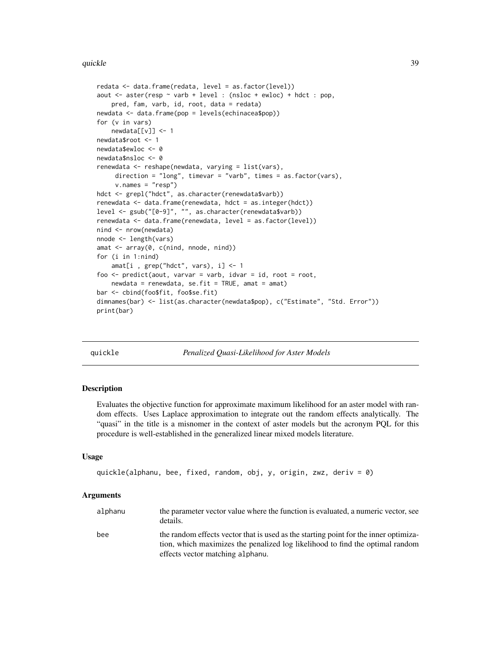#### <span id="page-38-0"></span>quickle 39

```
redata <- data.frame(redata, level = as.factor(level))
aout <- aster(resp ~ varb + level : (nsloc + ewloc) + hdct : pop,
   pred, fam, varb, id, root, data = redata)
newdata <- data.frame(pop = levels(echinacea$pop))
for (v in vars)
   newdata[[v]] <- 1
newdata$root <- 1
newdata$ewloc <- 0
newdata$nsloc <- 0
renewdata <- reshape(newdata, varying = list(vars),
     direction = "long", timevar = "varb", times = as.factor(vars),
     v.names = "resp")
hdct <- grepl("hdct", as.character(renewdata$varb))
renewdata <- data.frame(renewdata, hdct = as.integer(hdct))
level <- gsub("[0-9]", "", as.character(renewdata$varb))
renewdata <- data.frame(renewdata, level = as.factor(level))
nind <- nrow(newdata)
nnode <- length(vars)
amat <- array(0, c(nind, nnode, nind))
for (i in 1:nind)
    amat[i, grep("hdct", vars), i] < -1foo \leq predict(aout, varvar = varb, idvar = id, root = root,
    newdata = renewdata, se.fit = TRUE, amat = amat)
bar <- cbind(foo$fit, foo$se.fit)
dimnames(bar) <- list(as.character(newdata$pop), c("Estimate", "Std. Error"))
print(bar)
```
quickle *Penalized Quasi-Likelihood for Aster Models*

#### Description

Evaluates the objective function for approximate maximum likelihood for an aster model with random effects. Uses Laplace approximation to integrate out the random effects analytically. The "quasi" in the title is a misnomer in the context of aster models but the acronym PQL for this procedure is well-established in the generalized linear mixed models literature.

#### Usage

```
quickle(alphanu, bee, fixed, random, obj, y, origin, zwz, deriv = 0)
```
#### Arguments

| alphanu | the parameter vector value where the function is evaluated, a numeric vector, see<br>details.                                                                                                             |
|---------|-----------------------------------------------------------------------------------------------------------------------------------------------------------------------------------------------------------|
| bee     | the random effects vector that is used as the starting point for the inner optimiza-<br>tion, which maximizes the penalized log likelihood to find the optimal random<br>effects vector matching alphanu. |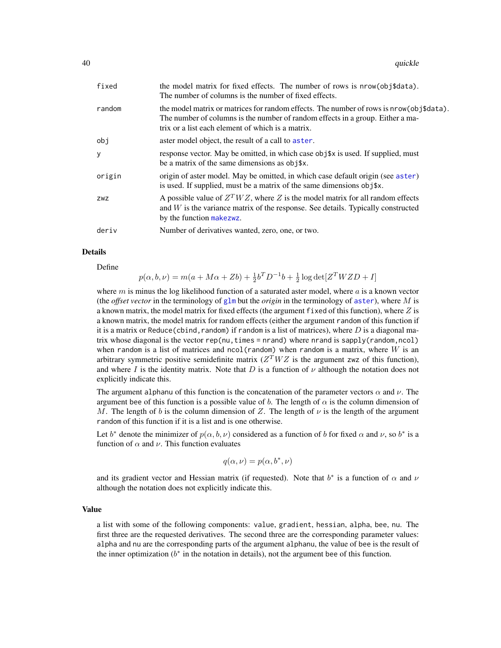<span id="page-39-0"></span>

| fixed  | the model matrix for fixed effects. The number of rows is nrow(obj\$data).<br>The number of columns is the number of fixed effects.                                                                                            |
|--------|--------------------------------------------------------------------------------------------------------------------------------------------------------------------------------------------------------------------------------|
| random | the model matrix or matrices for random effects. The number of rows is nrow(obj\$data).<br>The number of columns is the number of random effects in a group. Either a ma-<br>trix or a list each element of which is a matrix. |
| obj    | aster model object, the result of a call to aster.                                                                                                                                                                             |
| y      | response vector. May be omitted, in which case obj\\$x is used. If supplied, must<br>be a matrix of the same dimensions as obj\$x.                                                                                             |
| origin | origin of aster model. May be omitted, in which case default origin (see aster)<br>is used. If supplied, must be a matrix of the same dimensions obj\$x.                                                                       |
| ZWZ    | A possible value of $Z^T W Z$ , where Z is the model matrix for all random effects<br>and W is the variance matrix of the response. See details. Typically constructed<br>by the function makezwz.                             |
| deriv  | Number of derivatives wanted, zero, one, or two.                                                                                                                                                                               |

# Details

Define

$$
p(\alpha, b, \nu) = m(a + M\alpha + Zb) + \frac{1}{2}b^{T}D^{-1}b + \frac{1}{2}\log \det[Z^{T}WZD + I]
$$

where m is minus the log likelihood function of a saturated aster model, where a is a known vector (the *offset vector* in the terminology of [glm](#page-0-0) but the *origin* in the terminology of [aster](#page-4-1)), where M is a known matrix, the model matrix for fixed effects (the argument fixed of this function), where  $Z$  is a known matrix, the model matrix for random effects (either the argument random of this function if it is a matrix or Reduce(cbind, random) if random is a list of matrices), where D is a diagonal matrix whose diagonal is the vector rep(nu, times = nrand) where nrand is sapply(random, ncol) when random is a list of matrices and ncol(random) when random is a matrix, where  $W$  is an arbitrary symmetric positive semidefinite matrix  $(Z<sup>T</sup> W Z$  is the argument zwz of this function), and where I is the identity matrix. Note that D is a function of  $\nu$  although the notation does not explicitly indicate this.

The argument alphanu of this function is the concatenation of the parameter vectors  $\alpha$  and  $\nu$ . The argument bee of this function is a possible value of b. The length of  $\alpha$  is the column dimension of M. The length of b is the column dimension of Z. The length of  $\nu$  is the length of the argument random of this function if it is a list and is one otherwise.

Let  $b^*$  denote the minimizer of  $p(\alpha, b, \nu)$  considered as a function of b for fixed  $\alpha$  and  $\nu$ , so  $b^*$  is a function of  $\alpha$  and  $\nu$ . This function evaluates

$$
q(\alpha, \nu) = p(\alpha, b^*, \nu)
$$

and its gradient vector and Hessian matrix (if requested). Note that  $b^*$  is a function of  $\alpha$  and  $\nu$ although the notation does not explicitly indicate this.

#### Value

a list with some of the following components: value, gradient, hessian, alpha, bee, nu. The first three are the requested derivatives. The second three are the corresponding parameter values: alpha and nu are the corresponding parts of the argument alphanu, the value of bee is the result of the inner optimization  $(b^*$  in the notation in details), not the argument bee of this function.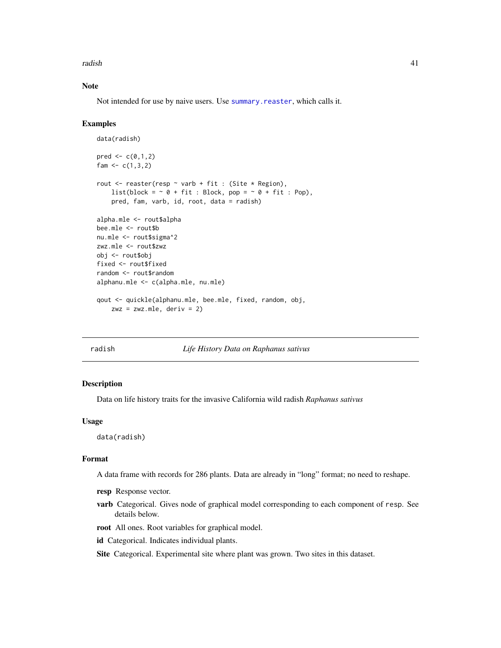<span id="page-40-0"></span>radish and the contract of the contract of the contract of the contract of the contract of the contract of the contract of the contract of the contract of the contract of the contract of the contract of the contract of the

# Note

Not intended for use by naive users. Use [summary.reaster](#page-49-1), which calls it.

#### Examples

```
data(radish)
pred < -c(0,1,2)fam <-c(1,3,2)rout \leq reaster(resp \sim varb + fit : (Site \star Region),
    list(block = \sim 0 + fit : Block, pop = \sim 0 + fit : Pop),
    pred, fam, varb, id, root, data = radish)
alpha.mle <- rout$alpha
bee.mle <- rout$b
nu.mle <- rout$sigma^2
zwz.mle <- rout$zwz
obj <- rout$obj
fixed <- rout$fixed
random <- rout$random
alphanu.mle <- c(alpha.mle, nu.mle)
qout <- quickle(alphanu.mle, bee.mle, fixed, random, obj,
    zwz = zwz.mle, deriv = 2)
```
#### radish *Life History Data on Raphanus sativus*

#### Description

Data on life history traits for the invasive California wild radish *Raphanus sativus*

## Usage

data(radish)

#### Format

A data frame with records for 286 plants. Data are already in "long" format; no need to reshape.

- resp Response vector.
- varb Categorical. Gives node of graphical model corresponding to each component of resp. See details below.
- root All ones. Root variables for graphical model.
- id Categorical. Indicates individual plants.

Site Categorical. Experimental site where plant was grown. Two sites in this dataset.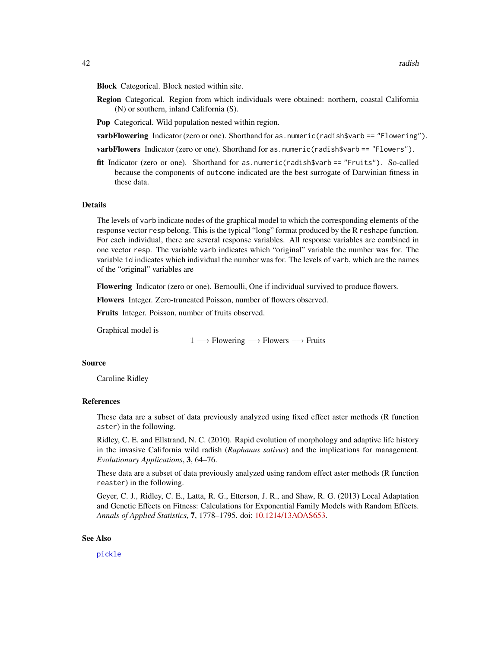<span id="page-41-0"></span>Block Categorical. Block nested within site.

Region Categorical. Region from which individuals were obtained: northern, coastal California (N) or southern, inland California (S).

Pop Categorical. Wild population nested within region.

**varbFlowering** Indicator (zero or one). Shorthand for as.numeric(radish\$varb == "Flowering").

varbFlowers Indicator (zero or one). Shorthand for as.numeric(radish\$varb == "Flowers").

fit Indicator (zero or one). Shorthand for as.numeric(radish\$varb == "Fruits"). So-called because the components of outcome indicated are the best surrogate of Darwinian fitness in these data.

#### Details

The levels of varb indicate nodes of the graphical model to which the corresponding elements of the response vector resp belong. This is the typical "long" format produced by the R reshape function. For each individual, there are several response variables. All response variables are combined in one vector resp. The variable varb indicates which "original" variable the number was for. The variable id indicates which individual the number was for. The levels of varb, which are the names of the "original" variables are

Flowering Indicator (zero or one). Bernoulli, One if individual survived to produce flowers.

Flowers Integer. Zero-truncated Poisson, number of flowers observed.

**Fruits** Integer. Poisson, number of fruits observed.

Graphical model is

 $1 \longrightarrow$  Flowering  $\longrightarrow$  Flowers  $\longrightarrow$  Fruits

#### Source

Caroline Ridley

#### References

These data are a subset of data previously analyzed using fixed effect aster methods (R function aster) in the following.

Ridley, C. E. and Ellstrand, N. C. (2010). Rapid evolution of morphology and adaptive life history in the invasive California wild radish (*Raphanus sativus*) and the implications for management. *Evolutionary Applications*, 3, 64–76.

These data are a subset of data previously analyzed using random effect aster methods (R function reaster) in the following.

Geyer, C. J., Ridley, C. E., Latta, R. G., Etterson, J. R., and Shaw, R. G. (2013) Local Adaptation and Genetic Effects on Fitness: Calculations for Exponential Family Models with Random Effects. *Annals of Applied Statistics*, 7, 1778–1795. doi: [10.1214/13AOAS653.](https://doi.org/10.1214/13-AOAS653)

#### See Also

[pickle](#page-28-1)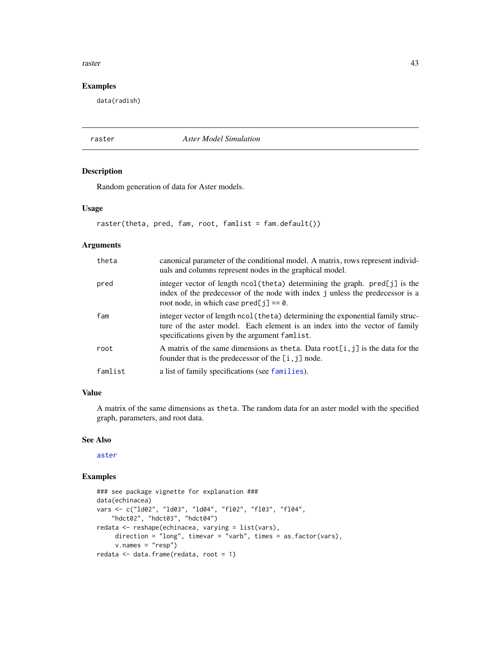#### <span id="page-42-0"></span>raster and the state of the state of the state of the state of the state of the state of the state of the state of the state of the state of the state of the state of the state of the state of the state of the state of the

# Examples

data(radish)

raster *Aster Model Simulation*

# Description

Random generation of data for Aster models.

#### Usage

```
raster(theta, pred, fam, root, famlist = fam.default())
```
# Arguments

| theta   | canonical parameter of the conditional model. A matrix, rows represent individ-<br>uals and columns represent nodes in the graphical model.                                                                     |
|---------|-----------------------------------------------------------------------------------------------------------------------------------------------------------------------------------------------------------------|
| pred    | integer vector of length ncol(theta) determining the graph. pred[j] is the<br>index of the predecessor of the node with index j unless the predecessor is a<br>root node, in which case $pred[j] == 0$ .        |
| fam     | integer vector of length ncol (theta) determining the exponential family struc-<br>ture of the aster model. Each element is an index into the vector of family<br>specifications given by the argument famlist. |
| root    | A matrix of the same dimensions as the ta. Data root $[i, j]$ is the data for the<br>founder that is the predecessor of the $[i, j]$ node.                                                                      |
| famlist | a list of family specifications (see families).                                                                                                                                                                 |

#### Value

A matrix of the same dimensions as theta. The random data for an aster model with the specified graph, parameters, and root data.

# See Also

[aster](#page-4-1)

# Examples

```
### see package vignette for explanation ###
data(echinacea)
vars <- c("ld02", "ld03", "ld04", "fl02", "fl03", "fl04",
    "hdct02", "hdct03", "hdct04")
redata <- reshape(echinacea, varying = list(vars),
    direction = "long", timevar = "varb", times = as.factor(vars),
     v.names = "resp")
redata <- data.frame(redata, root = 1)
```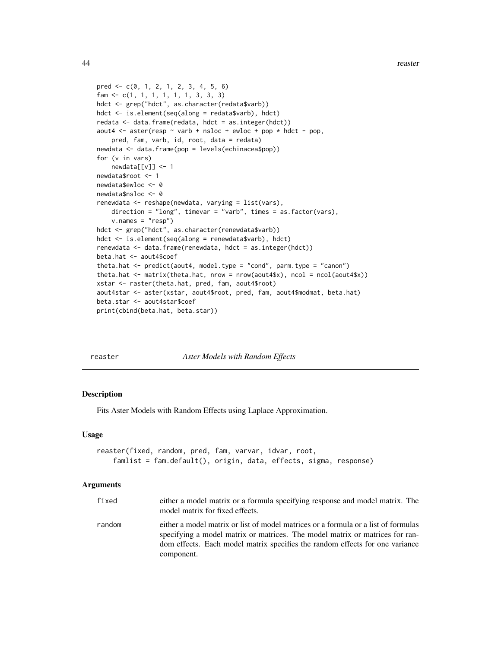```
pred <- c(0, 1, 2, 1, 2, 3, 4, 5, 6)
fam <- c(1, 1, 1, 1, 1, 1, 3, 3, 3)
hdct <- grep("hdct", as.character(redata$varb))
hdct <- is.element(seq(along = redata$varb), hdct)
redata <- data.frame(redata, hdct = as.integer(hdct))
aout4 <- aster(resp \sim varb + nsloc + ewloc + pop * hdct - pop,
    pred, fam, varb, id, root, data = redata)
newdata <- data.frame(pop = levels(echinacea$pop))
for (v in vars)
   newdata[[v]] <- 1
newdata$root <- 1
newdata$ewloc <- 0
newdata$nsloc <- 0
renewdata <- reshape(newdata, varying = list(vars),
    direction = "long", timevar = "varb", times = as.factor(vars),
    v.names = "resp")
hdct <- grep("hdct", as.character(renewdata$varb))
hdct <- is.element(seq(along = renewdata$varb), hdct)
renewdata <- data.frame(renewdata, hdct = as.integer(hdct))
beta.hat <- aout4$coef
theta.hat <- predict(aout4, model.type = "cond", parm.type = "canon")
theta.hat <- matrix(theta.hat, nrow = nrow(aout4$x), ncol = ncol(aout4$x))
xstar <- raster(theta.hat, pred, fam, aout4$root)
aout4star <- aster(xstar, aout4$root, pred, fam, aout4$modmat, beta.hat)
beta.star <- aout4star$coef
print(cbind(beta.hat, beta.star))
```
<span id="page-43-1"></span>

**Aster Models with Random Effects** 

#### Description

Fits Aster Models with Random Effects using Laplace Approximation.

#### Usage

```
reaster(fixed, random, pred, fam, varvar, idvar, root,
   famlist = fam.default(), origin, data, effects, sigma, response)
```
#### **Arguments**

| fixed  | either a model matrix or a formula specifying response and model matrix. The<br>model matrix for fixed effects.                                                                                                                                                  |
|--------|------------------------------------------------------------------------------------------------------------------------------------------------------------------------------------------------------------------------------------------------------------------|
| random | either a model matrix or list of model matrices or a formula or a list of formulas<br>specifying a model matrix or matrices. The model matrix or matrices for ran-<br>dom effects. Each model matrix specifies the random effects for one variance<br>component. |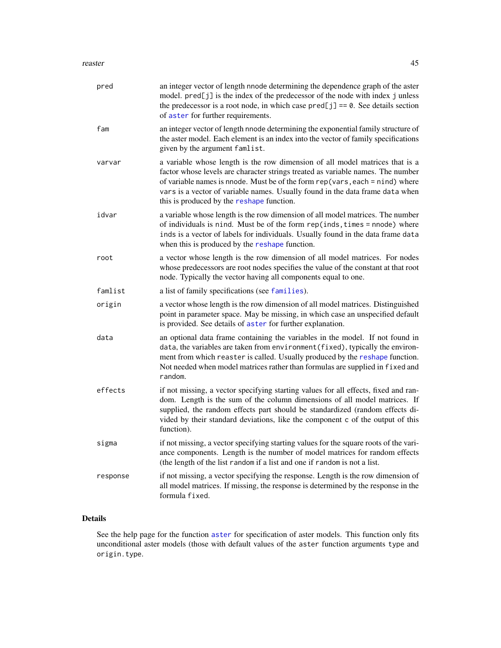#### <span id="page-44-0"></span>reaster **45**

| pred     | an integer vector of length nnode determining the dependence graph of the aster<br>model. pred[j] is the index of the predecessor of the node with index j unless<br>the predecessor is a root node, in which case $pred[j] == 0$ . See details section<br>of aster for further requirements.                                                                                   |
|----------|---------------------------------------------------------------------------------------------------------------------------------------------------------------------------------------------------------------------------------------------------------------------------------------------------------------------------------------------------------------------------------|
| fam      | an integer vector of length nnode determining the exponential family structure of<br>the aster model. Each element is an index into the vector of family specifications<br>given by the argument famlist.                                                                                                                                                                       |
| varvar   | a variable whose length is the row dimension of all model matrices that is a<br>factor whose levels are character strings treated as variable names. The number<br>of variable names is nnode. Must be of the form $rep(vars, each = nind)$ where<br>vars is a vector of variable names. Usually found in the data frame data when<br>this is produced by the reshape function. |
| idvar    | a variable whose length is the row dimension of all model matrices. The number<br>of individuals is nind. Must be of the form rep(inds, times = nnode) where<br>inds is a vector of labels for individuals. Usually found in the data frame data<br>when this is produced by the reshape function.                                                                              |
| root     | a vector whose length is the row dimension of all model matrices. For nodes<br>whose predecessors are root nodes specifies the value of the constant at that root<br>node. Typically the vector having all components equal to one.                                                                                                                                             |
| famlist  | a list of family specifications (see families).                                                                                                                                                                                                                                                                                                                                 |
| origin   | a vector whose length is the row dimension of all model matrices. Distinguished<br>point in parameter space. May be missing, in which case an unspecified default<br>is provided. See details of aster for further explanation.                                                                                                                                                 |
| data     | an optional data frame containing the variables in the model. If not found in<br>data, the variables are taken from environment (fixed), typically the environ-<br>ment from which reaster is called. Usually produced by the reshape function.<br>Not needed when model matrices rather than formulas are supplied in fixed and<br>random.                                     |
| effects  | if not missing, a vector specifying starting values for all effects, fixed and ran-<br>dom. Length is the sum of the column dimensions of all model matrices. If<br>supplied, the random effects part should be standardized (random effects di-<br>vided by their standard deviations, like the component c of the output of this<br>function).                                |
| sigma    | if not missing, a vector specifying starting values for the square roots of the vari-<br>ance components. Length is the number of model matrices for random effects<br>(the length of the list random if a list and one if random is not a list.                                                                                                                                |
| response | if not missing, a vector specifying the response. Length is the row dimension of<br>all model matrices. If missing, the response is determined by the response in the<br>formula fixed.                                                                                                                                                                                         |

# Details

See the help page for the function [aster](#page-4-1) for specification of aster models. This function only fits unconditional aster models (those with default values of the aster function arguments type and origin.type.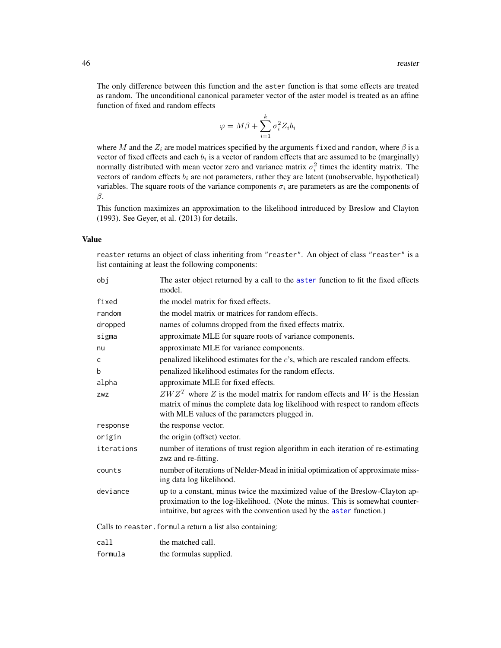The only difference between this function and the aster function is that some effects are treated as random. The unconditional canonical parameter vector of the aster model is treated as an affine function of fixed and random effects

$$
\varphi = M\beta + \sum_{i=1}^{k} \sigma_i^2 Z_i b_i
$$

where M and the  $Z_i$  are model matrices specified by the arguments fixed and random, where  $\beta$  is a vector of fixed effects and each  $b_i$  is a vector of random effects that are assumed to be (marginally) normally distributed with mean vector zero and variance matrix  $\sigma_i^2$  times the identity matrix. The vectors of random effects  $b_i$  are not parameters, rather they are latent (unobservable, hypothetical) variables. The square roots of the variance components  $\sigma_i$  are parameters as are the components of β.

This function maximizes an approximation to the likelihood introduced by Breslow and Clayton (1993). See Geyer, et al. (2013) for details.

# Value

reaster returns an object of class inheriting from "reaster". An object of class "reaster" is a list containing at least the following components:

| obj        | The aster object returned by a call to the aster function to fit the fixed effects<br>model.                                                                                                                                            |
|------------|-----------------------------------------------------------------------------------------------------------------------------------------------------------------------------------------------------------------------------------------|
| fixed      | the model matrix for fixed effects.                                                                                                                                                                                                     |
| random     | the model matrix or matrices for random effects.                                                                                                                                                                                        |
| dropped    | names of columns dropped from the fixed effects matrix.                                                                                                                                                                                 |
| sigma      | approximate MLE for square roots of variance components.                                                                                                                                                                                |
| nu         | approximate MLE for variance components.                                                                                                                                                                                                |
| C          | penalized likelihood estimates for the $c$ 's, which are rescaled random effects.                                                                                                                                                       |
| b          | penalized likelihood estimates for the random effects.                                                                                                                                                                                  |
| alpha      | approximate MLE for fixed effects.                                                                                                                                                                                                      |
| ZWZ        | $ZWZT$ where Z is the model matrix for random effects and W is the Hessian<br>matrix of minus the complete data log likelihood with respect to random effects<br>with MLE values of the parameters plugged in.                          |
| response   | the response vector.                                                                                                                                                                                                                    |
| origin     | the origin (offset) vector.                                                                                                                                                                                                             |
| iterations | number of iterations of trust region algorithm in each iteration of re-estimating<br>zwz and re-fitting.                                                                                                                                |
| counts     | number of iterations of Nelder-Mead in initial optimization of approximate miss-<br>ing data log likelihood.                                                                                                                            |
| deviance   | up to a constant, minus twice the maximized value of the Breslow-Clayton ap-<br>proximation to the log-likelihood. (Note the minus. This is somewhat counter-<br>intuitive, but agrees with the convention used by the aster function.) |
|            | Calls to reaster. formula return a list also containing:                                                                                                                                                                                |
| call       | the matched call.                                                                                                                                                                                                                       |
| formula    | the formulas supplied.                                                                                                                                                                                                                  |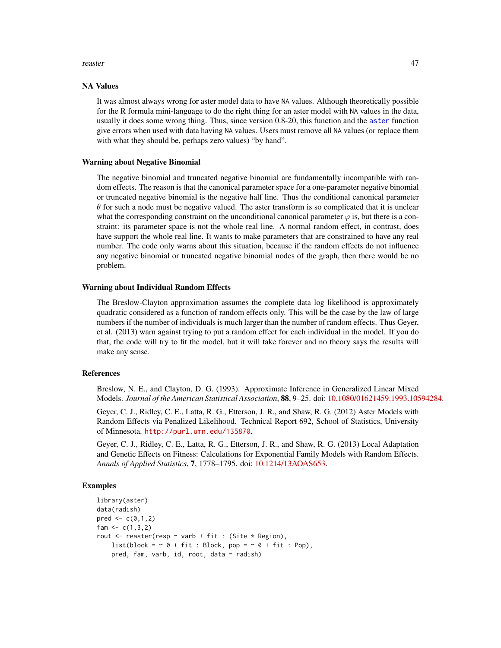#### <span id="page-46-0"></span>reaster **47**

#### NA Values

It was almost always wrong for aster model data to have NA values. Although theoretically possible for the R formula mini-language to do the right thing for an aster model with NA values in the data, usually it does some wrong thing. Thus, since version 0.8-20, this function and the [aster](#page-4-1) function give errors when used with data having NA values. Users must remove all NA values (or replace them with what they should be, perhaps zero values) "by hand".

#### Warning about Negative Binomial

The negative binomial and truncated negative binomial are fundamentally incompatible with random effects. The reason is that the canonical parameter space for a one-parameter negative binomial or truncated negative binomial is the negative half line. Thus the conditional canonical parameter  $\theta$  for such a node must be negative valued. The aster transform is so complicated that it is unclear what the corresponding constraint on the unconditional canonical parameter  $\varphi$  is, but there is a constraint: its parameter space is not the whole real line. A normal random effect, in contrast, does have support the whole real line. It wants to make parameters that are constrained to have any real number. The code only warns about this situation, because if the random effects do not influence any negative binomial or truncated negative binomial nodes of the graph, then there would be no problem.

#### Warning about Individual Random Effects

The Breslow-Clayton approximation assumes the complete data log likelihood is approximately quadratic considered as a function of random effects only. This will be the case by the law of large numbers if the number of individuals is much larger than the number of random effects. Thus Geyer, et al. (2013) warn against trying to put a random effect for each individual in the model. If you do that, the code will try to fit the model, but it will take forever and no theory says the results will make any sense.

#### References

Breslow, N. E., and Clayton, D. G. (1993). Approximate Inference in Generalized Linear Mixed Models. *Journal of the American Statistical Association*, 88, 9–25. doi: [10.1080/01621459.1993.10594284.](https://doi.org/10.1080/01621459.1993.10594284)

Geyer, C. J., Ridley, C. E., Latta, R. G., Etterson, J. R., and Shaw, R. G. (2012) Aster Models with Random Effects via Penalized Likelihood. Technical Report 692, School of Statistics, University of Minnesota. <http://purl.umn.edu/135870>.

Geyer, C. J., Ridley, C. E., Latta, R. G., Etterson, J. R., and Shaw, R. G. (2013) Local Adaptation and Genetic Effects on Fitness: Calculations for Exponential Family Models with Random Effects. *Annals of Applied Statistics*, 7, 1778–1795. doi: [10.1214/13AOAS653.](https://doi.org/10.1214/13-AOAS653)

# Examples

```
library(aster)
data(radish)
pred < -c(0,1,2)fam <-c(1,3,2)rout \leq reaster(resp \sim varb + fit : (Site \star Region),
    list(block = \sim 0 + fit : Block, pop = \sim 0 + fit : Pop),
    pred, fam, varb, id, root, data = radish)
```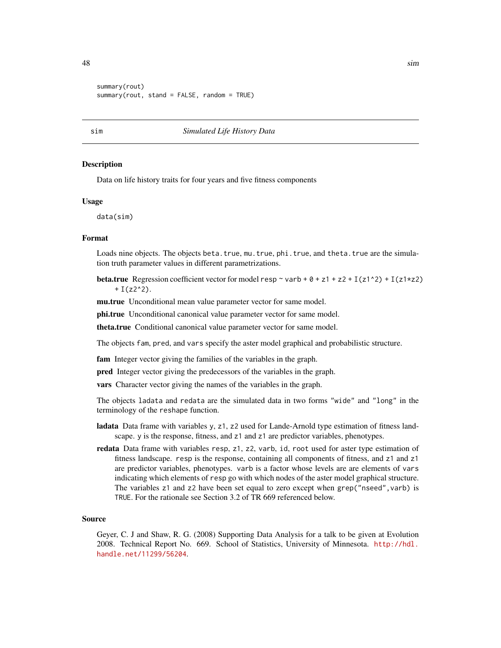```
summary(rout)
summary(rout, stand = FALSE, random = TRUE)
```
#### sim *Simulated Life History Data*

#### **Description**

Data on life history traits for four years and five fitness components

#### Usage

data(sim)

# Format

Loads nine objects. The objects beta.true, mu.true, phi.true, and theta.true are the simulation truth parameter values in different parametrizations.

**beta.true** Regression coefficient vector for model resp  $\sim$  varb +  $\theta$  + z1 + z2 + I(z1^2) + I(z1\*z2)  $+ I(z2^2).$ 

mu.true Unconditional mean value parameter vector for same model.

phi.true Unconditional canonical value parameter vector for same model.

theta.true Conditional canonical value parameter vector for same model.

The objects fam, pred, and vars specify the aster model graphical and probabilistic structure.

fam Integer vector giving the families of the variables in the graph.

pred Integer vector giving the predecessors of the variables in the graph.

vars Character vector giving the names of the variables in the graph.

The objects ladata and redata are the simulated data in two forms "wide" and "long" in the terminology of the reshape function.

- ladata Data frame with variables y, z1, z2 used for Lande-Arnold type estimation of fitness landscape. y is the response, fitness, and z1 and z1 are predictor variables, phenotypes.
- redata Data frame with variables resp, z1, z2, varb, id, root used for aster type estimation of fitness landscape. resp is the response, containing all components of fitness, and z1 and z1 are predictor variables, phenotypes. varb is a factor whose levels are are elements of vars indicating which elements of resp go with which nodes of the aster model graphical structure. The variables z1 and z2 have been set equal to zero except when grep("nseed", varb) is TRUE. For the rationale see Section 3.2 of TR 669 referenced below.

#### Source

Geyer, C. J and Shaw, R. G. (2008) Supporting Data Analysis for a talk to be given at Evolution 2008. Technical Report No. 669. School of Statistics, University of Minnesota. [http://hdl.](http://hdl.handle.net/11299/56204) [handle.net/11299/56204](http://hdl.handle.net/11299/56204).

<span id="page-47-0"></span>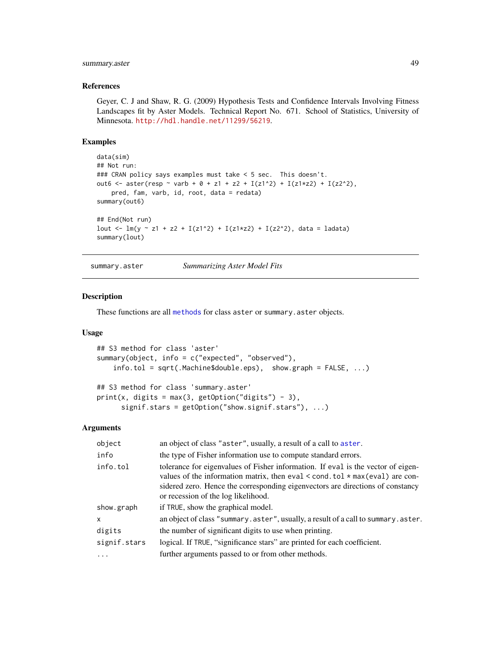# <span id="page-48-0"></span>summary.aster 49

#### References

Geyer, C. J and Shaw, R. G. (2009) Hypothesis Tests and Confidence Intervals Involving Fitness Landscapes fit by Aster Models. Technical Report No. 671. School of Statistics, University of Minnesota. <http://hdl.handle.net/11299/56219>.

#### Examples

```
data(sim)
## Not run:
### CRAN policy says examples must take < 5 sec. This doesn't.
out6 <- aster(resp ~ varb + 0 + z1 + z2 + I(z1^2) + I(z1*z2) + I(z2^2),
   pred, fam, varb, id, root, data = redata)
summary(out6)
## End(Not run)
lout <- lm(y \sim z1 + z2 + I(z1^2) + I(z1*z2) + I(z2^2), data = ladata)
summary(lout)
```
<span id="page-48-1"></span>summary.aster *Summarizing Aster Model Fits*

### Description

These functions are all [methods](#page-0-0) for class aster or summary.aster objects.

# Usage

```
## S3 method for class 'aster'
summary(object, info = c("expected", "observed"),
    info.tol = sqrt(.Machine$double.eps), show.graph = FALSE, ...)
```

```
## S3 method for class 'summary.aster'
print(x, digits = max(3, getOption("digits") - 3),signif.stars = getOption("show.signif.stars"), ...)
```
#### Arguments

| object       | an object of class "aster", usually, a result of a call to aster.                                                                                                                                                                                                                                   |
|--------------|-----------------------------------------------------------------------------------------------------------------------------------------------------------------------------------------------------------------------------------------------------------------------------------------------------|
| info         | the type of Fisher information use to compute standard errors.                                                                                                                                                                                                                                      |
| info.tol     | tolerance for eigenvalues of Fisher information. If eval is the vector of eigen-<br>values of the information matrix, then eval $\le$ cond. tol $\star$ max(eval) are con-<br>sidered zero. Hence the corresponding eigenvectors are directions of constancy<br>or recession of the log likelihood. |
| show.graph   | if TRUE, show the graphical model.                                                                                                                                                                                                                                                                  |
| $\mathsf{x}$ | an object of class "summary.aster", usually, a result of a call to summary.aster.                                                                                                                                                                                                                   |
| digits       | the number of significant digits to use when printing.                                                                                                                                                                                                                                              |
| signif.stars | logical. If TRUE, "significance stars" are printed for each coefficient.                                                                                                                                                                                                                            |
|              | further arguments passed to or from other methods.                                                                                                                                                                                                                                                  |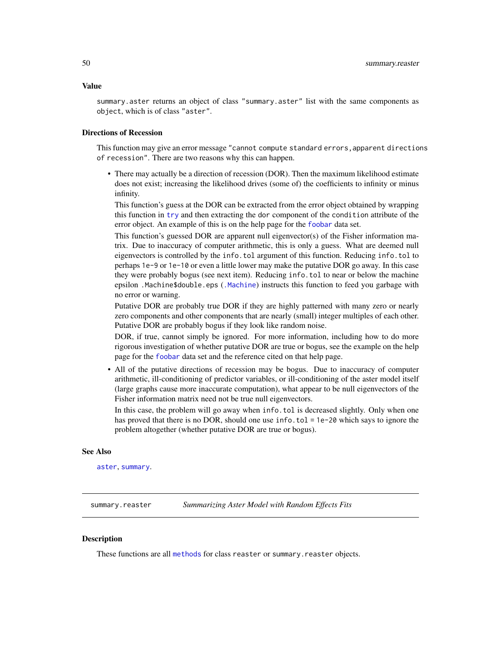<span id="page-49-0"></span>Value

summary.aster returns an object of class "summary.aster" list with the same components as object, which is of class "aster".

#### Directions of Recession

This function may give an error message "cannot compute standard errors, apparent directions of recession". There are two reasons why this can happen.

• There may actually be a direction of recession (DOR). Then the maximum likelihood estimate does not exist; increasing the likelihood drives (some of) the coefficients to infinity or minus infinity.

This function's guess at the DOR can be extracted from the error object obtained by wrapping this function in [try](#page-0-0) and then extracting the dor component of the condition attribute of the error object. An example of this is on the help page for the [foobar](#page-20-1) data set.

This function's guessed DOR are apparent null eigenvector(s) of the Fisher information matrix. Due to inaccuracy of computer arithmetic, this is only a guess. What are deemed null eigenvectors is controlled by the info.tol argument of this function. Reducing info.tol to perhaps 1e-9 or 1e-10 or even a little lower may make the putative DOR go away. In this case they were probably bogus (see next item). Reducing info.tol to near or below the machine epsilon .Machine\$double.eps ([.Machine](#page-0-0)) instructs this function to feed you garbage with no error or warning.

Putative DOR are probably true DOR if they are highly patterned with many zero or nearly zero components and other components that are nearly (small) integer multiples of each other. Putative DOR are probably bogus if they look like random noise.

DOR, if true, cannot simply be ignored. For more information, including how to do more rigorous investigation of whether putative DOR are true or bogus, see the example on the help page for the [foobar](#page-20-1) data set and the reference cited on that help page.

• All of the putative directions of recession may be bogus. Due to inaccuracy of computer arithmetic, ill-conditioning of predictor variables, or ill-conditioning of the aster model itself (large graphs cause more inaccurate computation), what appear to be null eigenvectors of the Fisher information matrix need not be true null eigenvectors.

In this case, the problem will go away when info.tol is decreased slightly. Only when one has proved that there is no DOR, should one use info.tol = 1e-20 which says to ignore the problem altogether (whether putative DOR are true or bogus).

#### See Also

[aster](#page-4-1), [summary](#page-0-0).

<span id="page-49-1"></span>summary.reaster *Summarizing Aster Model with Random Effects Fits*

# Description

These functions are all [methods](#page-0-0) for class reaster or summary. reaster objects.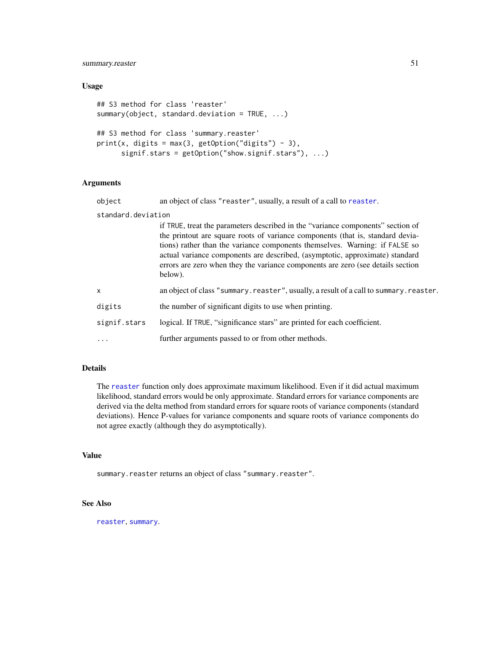<span id="page-50-0"></span>summary.reaster 51

#### Usage

```
## S3 method for class 'reaster'
summary(object, standard.deviation = TRUE, ...)## S3 method for class 'summary.reaster'
print(x, digits = max(3, getOption("digits") - 3),signif.stars = getOption("show.signif.stars"), ...)
```
#### Arguments

| object | an object of class "reaster", usually, a result of a call to reaster. |
|--------|-----------------------------------------------------------------------|
| .      |                                                                       |

standard.deviation

if TRUE, treat the parameters described in the "variance components" section of the printout are square roots of variance components (that is, standard deviations) rather than the variance components themselves. Warning: if FALSE so actual variance components are described, (asymptotic, approximate) standard errors are zero when they the variance components are zero (see details section below).

| an object of class "summary.reaster", usually, a result of a call to summary.reaster. |  |
|---------------------------------------------------------------------------------------|--|
|---------------------------------------------------------------------------------------|--|

```
digits the number of significant digits to use when printing.
```
signif.stars logical. If TRUE, "significance stars" are printed for each coefficient.

... further arguments passed to or from other methods.

# Details

The [reaster](#page-43-1) function only does approximate maximum likelihood. Even if it did actual maximum likelihood, standard errors would be only approximate. Standard errors for variance components are derived via the delta method from standard errors for square roots of variance components (standard deviations). Hence P-values for variance components and square roots of variance components do not agree exactly (although they do asymptotically).

#### Value

summary.reaster returns an object of class "summary.reaster".

# See Also

[reaster](#page-43-1), [summary](#page-0-0).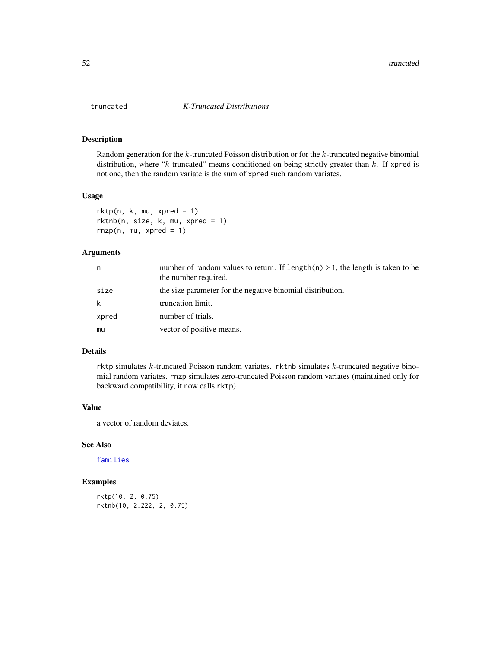<span id="page-51-0"></span>

# Description

Random generation for the  $k$ -truncated Poisson distribution or for the  $k$ -truncated negative binomial distribution, where " $k$ -truncated" means conditioned on being strictly greater than  $k$ . If xpred is not one, then the random variate is the sum of xpred such random variates.

### Usage

```
r k t p(n, k, mu, xpred = 1)rktnb(n, size, k, mu, xpred = 1)
rnzp(n, mu, xpred = 1)
```
# Arguments

| n     | number of random values to return. If $l$ ength $(n)$ > 1, the length is taken to be<br>the number required. |
|-------|--------------------------------------------------------------------------------------------------------------|
| size  | the size parameter for the negative binomial distribution.                                                   |
| k     | truncation limit.                                                                                            |
| xpred | number of trials.                                                                                            |
| mu    | vector of positive means.                                                                                    |

# Details

rktp simulates  $k$ -truncated Poisson random variates. rktnb simulates  $k$ -truncated negative binomial random variates. rnzp simulates zero-truncated Poisson random variates (maintained only for backward compatibility, it now calls rktp).

#### Value

a vector of random deviates.

# See Also

[families](#page-17-1)

# Examples

```
rktp(10, 2, 0.75)
rktnb(10, 2.222, 2, 0.75)
```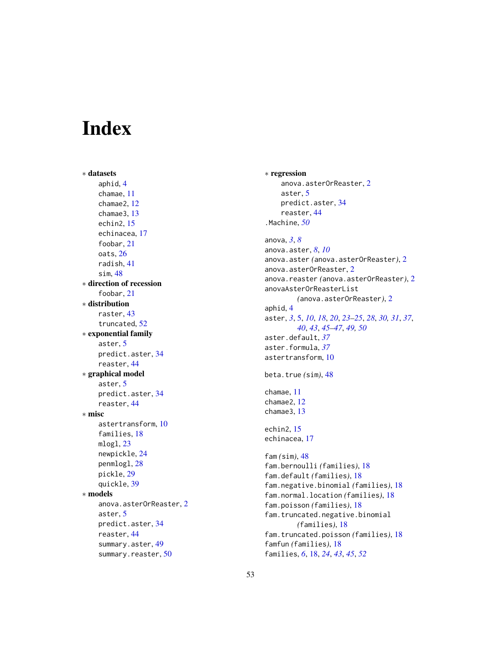# <span id="page-52-0"></span>Index

∗ datasets aphid , [4](#page-3-0) chamae , [11](#page-10-0) chamae2 , [12](#page-11-0) chamae3 , [13](#page-12-0) echin2 , [15](#page-14-0) echinacea , [17](#page-16-0) foobar , [21](#page-20-0) oats , [26](#page-25-0) radish , [41](#page-40-0) sim , [48](#page-47-0) ∗ direction of recession foobar , [21](#page-20-0) ∗ distribution raster , [43](#page-42-0) truncated , [52](#page-51-0) ∗ exponential family aster , [5](#page-4-0) predict.aster , [34](#page-33-0) reaster , [44](#page-43-0) ∗ graphical model aster , [5](#page-4-0) predict.aster , [34](#page-33-0) reaster , [44](#page-43-0) ∗ misc astertransform , [10](#page-9-0) families , [18](#page-17-0) mlogl , [23](#page-22-0) newpickle , [24](#page-23-0) penmlogl , [28](#page-27-0) pickle , [29](#page-28-0) quickle , [39](#page-38-0) ∗ models anova.asterOrReaster , [2](#page-1-0) aster , [5](#page-4-0) predict.aster , [34](#page-33-0) reaster , [44](#page-43-0) summary.aster, [49](#page-48-0) summary.reaster, [50](#page-49-0)

∗ regression anova.aster $0$ r $\sf{Reaster,2}$  $\sf{Reaster,2}$  $\sf{Reaster,2}$ aster, [5](#page-4-0) predict.aster , [34](#page-33-0) reaster , [44](#page-43-0) .Machine , *[50](#page-49-0)* anova , *[3](#page-2-0)* , *[8](#page-7-0)* anova.aster , *[8](#page-7-0)* , *[10](#page-9-0)* anova.aster *(*anova.asterOrReaster *)* , [2](#page-1-0) anova.aster $0$ r $\sf{Reaster,2}$  $\sf{Reaster,2}$  $\sf{Reaster,2}$ anova.reaster *(*anova.asterOrReaster *)* , [2](#page-1-0) anovaAsterOrReasterList *(*anova.asterOrReaster *)* , [2](#page-1-0) aphid , [4](#page-3-0) aster , *[3](#page-2-0)* , [5](#page-4-0) , *[10](#page-9-0)* , *[18](#page-17-0)* , *[20](#page-19-0)* , *[23](#page-22-0) [–25](#page-24-0)* , *[28](#page-27-0)* , *[30](#page-29-0) , [31](#page-30-0)* , *[37](#page-36-0)* , *[40](#page-39-0)* , *[43](#page-42-0)* , *[45](#page-44-0) [–47](#page-46-0)* , *[49](#page-48-0) , [50](#page-49-0)* aster.default , *[37](#page-36-0)* aster.formula , *[37](#page-36-0)* astertransform , [10](#page-9-0) beta.true *(*sim *)* , [48](#page-47-0) chamae , [11](#page-10-0) chamae2 , [12](#page-11-0) chamae3 , [13](#page-12-0) echin2, [15](#page-14-0) echinacea , [17](#page-16-0) fam *(*sim *)* , [48](#page-47-0) fam.bernoulli *(*families *)* , [18](#page-17-0) fam.default *(*families *)* , [18](#page-17-0) fam.negative.binomial *(*families *)* , [18](#page-17-0) fam.normal.location *(*families *)* , [18](#page-17-0) fam.poisson *(*families *)* , [18](#page-17-0) fam.truncated.negative.binomial *(*families*)*, [18](#page-17-0) fam.truncated.poisson *(*families *)* , [18](#page-17-0) famfun *(*families *)* , [18](#page-17-0) families , *[6](#page-5-0)* , [18](#page-17-0) , *[24](#page-23-0)* , *[43](#page-42-0)* , *[45](#page-44-0)* , *[52](#page-51-0)*